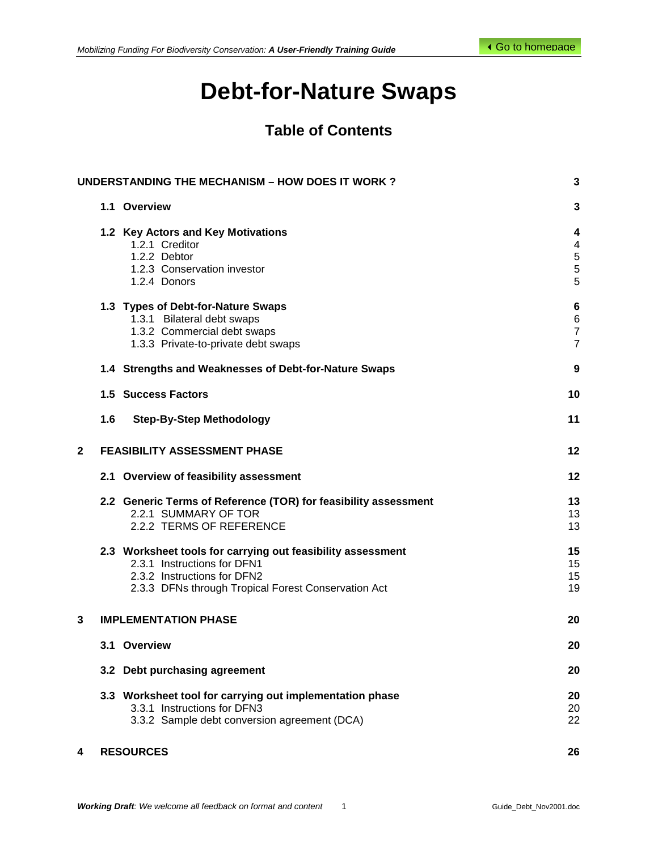# **Debt-for-Nature Swaps**

# **Table of Contents**

|                         |     | <b>UNDERSTANDING THE MECHANISM - HOW DOES IT WORK?</b>                                                                                                                           | 3                                                              |
|-------------------------|-----|----------------------------------------------------------------------------------------------------------------------------------------------------------------------------------|----------------------------------------------------------------|
|                         |     | 1.1 Overview                                                                                                                                                                     | 3                                                              |
|                         |     | 1.2 Key Actors and Key Motivations<br>1.2.1 Creditor<br>1.2.2 Debtor<br>1.2.3 Conservation investor<br>1.2.4 Donors                                                              | 4<br>$\overline{\mathbf{4}}$<br>$\frac{5}{5}$<br>5             |
|                         |     | 1.3 Types of Debt-for-Nature Swaps<br>1.3.1 Bilateral debt swaps<br>1.3.2 Commercial debt swaps<br>1.3.3 Private-to-private debt swaps                                           | $6\phantom{1}6$<br>$\,6$<br>$\boldsymbol{7}$<br>$\overline{7}$ |
|                         |     | 1.4 Strengths and Weaknesses of Debt-for-Nature Swaps                                                                                                                            | 9                                                              |
|                         |     | <b>1.5 Success Factors</b>                                                                                                                                                       | 10                                                             |
|                         | 1.6 | <b>Step-By-Step Methodology</b>                                                                                                                                                  | 11                                                             |
| $\overline{\mathbf{2}}$ |     | <b>FEASIBILITY ASSESSMENT PHASE</b>                                                                                                                                              | 12                                                             |
|                         |     | 2.1 Overview of feasibility assessment                                                                                                                                           | $12 \,$                                                        |
|                         |     | 2.2 Generic Terms of Reference (TOR) for feasibility assessment<br>2.2.1 SUMMARY OF TOR<br>2.2.2 TERMS OF REFERENCE                                                              | 13<br>13<br>13                                                 |
|                         |     | 2.3 Worksheet tools for carrying out feasibility assessment<br>2.3.1 Instructions for DFN1<br>2.3.2 Instructions for DFN2<br>2.3.3 DFNs through Tropical Forest Conservation Act | 15<br>15<br>15<br>19                                           |
| 3                       |     | <b>IMPLEMENTATION PHASE</b>                                                                                                                                                      | 20                                                             |
|                         |     | 3.1 Overview                                                                                                                                                                     | 20                                                             |
|                         |     | 3.2 Debt purchasing agreement                                                                                                                                                    | 20                                                             |
|                         |     | 3.3 Worksheet tool for carrying out implementation phase<br>3.3.1 Instructions for DFN3<br>3.3.2 Sample debt conversion agreement (DCA)                                          | 20<br>20<br>22                                                 |
| 4                       |     | <b>RESOURCES</b>                                                                                                                                                                 | 26                                                             |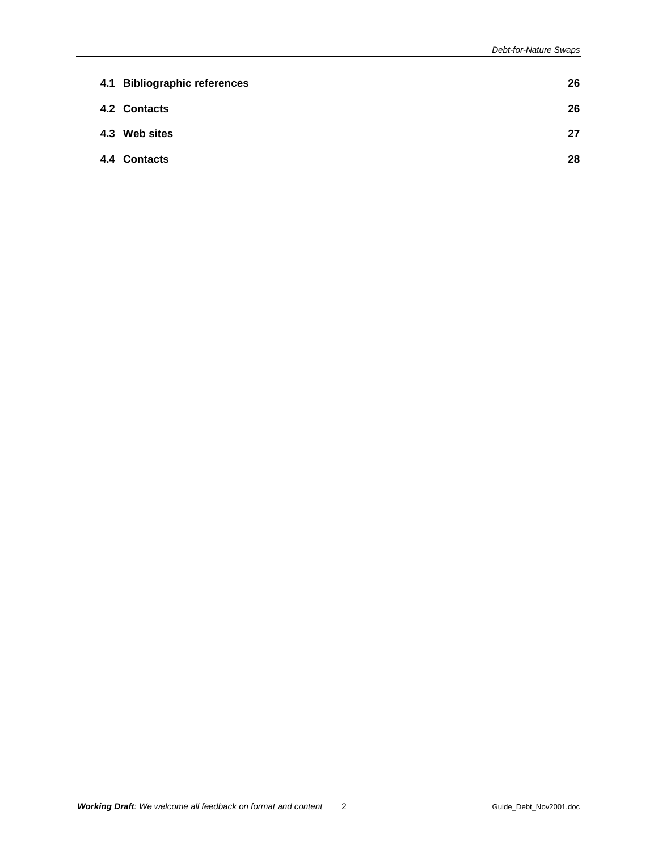| 4.1 Bibliographic references | 26 |
|------------------------------|----|
| 4.2 Contacts                 | 26 |
| 4.3 Web sites                | 27 |
| 4.4 Contacts                 | 28 |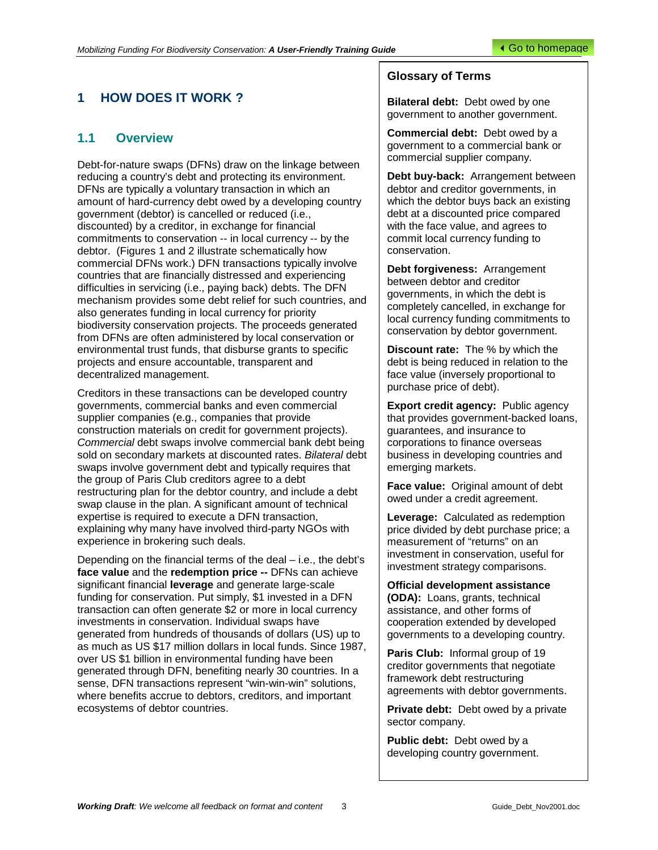# <span id="page-2-0"></span>**1 HOW DOES IT WORK ?**

# **1.1 Overview**

Debt-for-nature swaps (DFNs) draw on the linkage between reducing a country's debt and protecting its environment. DFNs are typically a voluntary transaction in which an amount of hard-currency debt owed by a developing country government (debtor) is cancelled or reduced (i.e., discounted) by a creditor, in exchange for financial commitments to conservation -- in local currency -- by the debtor. (Figures 1 and 2 illustrate schematically how commercial DFNs work.) DFN transactions typically involve countries that are financially distressed and experiencing difficulties in servicing (i.e., paying back) debts. The DFN mechanism provides some debt relief for such countries, and also generates funding in local currency for priority biodiversity conservation projects. The proceeds generated from DFNs are often administered by local conservation or environmental trust funds, that disburse grants to specific projects and ensure accountable, transparent and decentralized management.

Creditors in these transactions can be developed country governments, commercial banks and even commercial supplier companies (e.g., companies that provide construction materials on credit for government projects). *Commercial* debt swaps involve commercial bank debt being sold on secondary markets at discounted rates. *Bilateral* debt swaps involve government debt and typically requires that the group of Paris Club creditors agree to a debt restructuring plan for the debtor country, and include a debt swap clause in the plan. A significant amount of technical expertise is required to execute a DFN transaction, explaining why many have involved third-party NGOs with experience in brokering such deals.

Depending on the financial terms of the deal – i.e., the debt's **face value** and the **redemption price --** DFNs can achieve significant financial **leverage** and generate large-scale funding for conservation. Put simply, \$1 invested in a DFN transaction can often generate \$2 or more in local currency investments in conservation. Individual swaps have generated from hundreds of thousands of dollars (US) up to as much as US \$17 million dollars in local funds. Since 1987, over US \$1 billion in environmental funding have been generated through DFN, benefiting nearly 30 countries. In a sense, DFN transactions represent "win-win-win" solutions, where benefits accrue to debtors, creditors, and important ecosystems of debtor countries.

# **Glossary of Terms**

**Bilateral debt:** Debt owed by one government to another government.

**Commercial debt:** Debt owed by a government to a commercial bank or commercial supplier company.

**Debt buy-back:** Arrangement between debtor and creditor governments, in which the debtor buys back an existing debt at a discounted price compared with the face value, and agrees to commit local currency funding to conservation.

**Debt forgiveness:** Arrangement between debtor and creditor governments, in which the debt is completely cancelled, in exchange for local currency funding commitments to conservation by debtor government.

**Discount rate:** The % by which the debt is being reduced in relation to the face value (inversely proportional to purchase price of debt).

**Export credit agency: Public agency** that provides government-backed loans, guarantees, and insurance to corporations to finance overseas business in developing countries and emerging markets.

**Face value:** Original amount of debt owed under a credit agreement.

**Leverage:** Calculated as redemption price divided by debt purchase price; a measurement of "returns" on an investment in conservation, useful for investment strategy comparisons.

**Official development assistance (ODA):** Loans, grants, technical assistance, and other forms of cooperation extended by developed governments to a developing country.

**Paris Club:** Informal group of 19 creditor governments that negotiate framework debt restructuring agreements with debtor governments.

**Private debt:** Debt owed by a private sector company.

**Public debt:** Debt owed by a developing country government.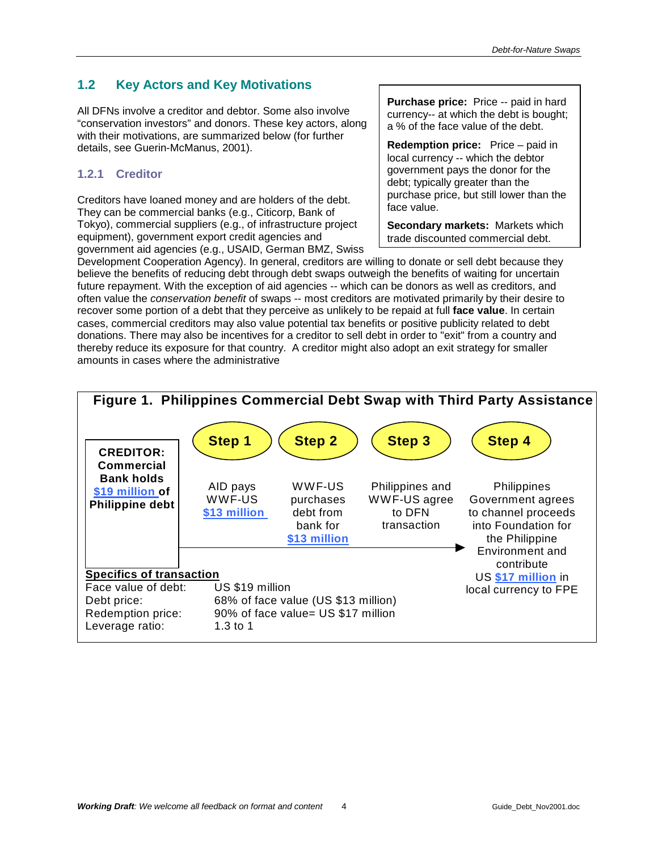# <span id="page-3-0"></span>**1.2 Key Actors and Key Motivations**

All DFNs involve a creditor and debtor. Some also involve "conservation investors" and donors. These key actors, along with their motivations, are summarized below (for further details, see Guerin-McManus, 2001).

# **1.2.1 Creditor**

Creditors have loaned money and are holders of the debt. They can be commercial banks (e.g., Citicorp, Bank of Tokyo), commercial suppliers (e.g., of infrastructure project equipment), government export credit agencies and government aid agencies (e.g., USAID, German BMZ, Swiss

**Purchase price:** Price -- paid in hard currency-- at which the debt is bought; a % of the face value of the debt.

**Redemption price:** Price – paid in local currency -- which the debtor government pays the donor for the debt; typically greater than the purchase price, but still lower than the face value.

**Secondary markets:** Markets which trade discounted commercial debt.

Development Cooperation Agency). In general, creditors are willing to donate or sell debt because they believe the benefits of reducing debt through debt swaps outweigh the benefits of waiting for uncertain future repayment. With the exception of aid agencies -- which can be donors as well as creditors, and often value the *conservation benefit* of swaps -- most creditors are motivated primarily by their desire to recover some portion of a debt that they perceive as unlikely to be repaid at full **face value**. In certain cases, commercial creditors may also value potential tax benefits or positive publicity related to debt donations. There may also be incentives for a creditor to sell debt in order to "exit" from a country and thereby reduce its exposure for that country. A creditor might also adopt an exit strategy for smaller amounts in cases where the administrative

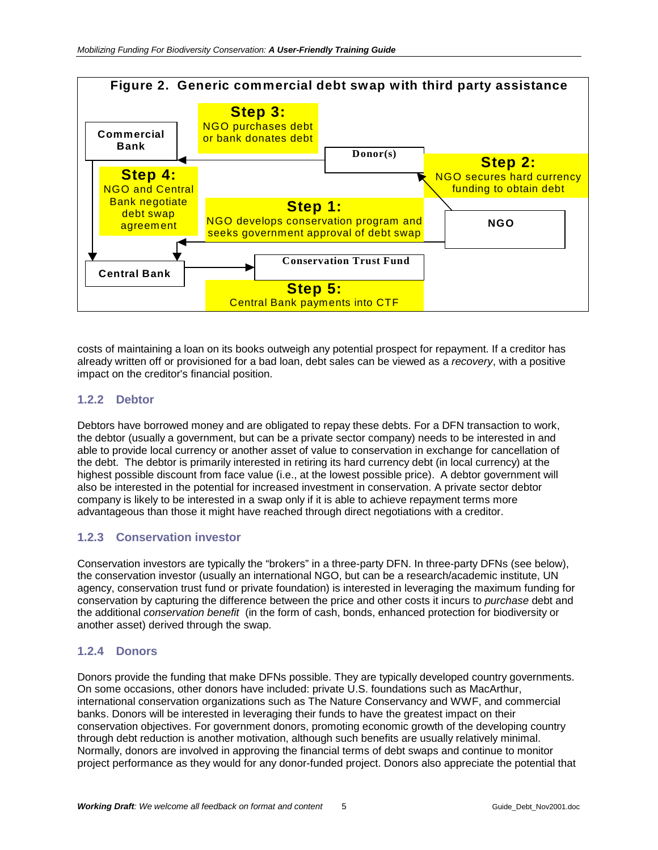<span id="page-4-0"></span>

costs of maintaining a loan on its books outweigh any potential prospect for repayment. If a creditor has already written off or provisioned for a bad loan, debt sales can be viewed as a *recovery*, with a positive impact on the creditor's financial position.

# **1.2.2 Debtor**

Debtors have borrowed money and are obligated to repay these debts. For a DFN transaction to work, the debtor (usually a government, but can be a private sector company) needs to be interested in and able to provide local currency or another asset of value to conservation in exchange for cancellation of the debt. The debtor is primarily interested in retiring its hard currency debt (in local currency) at the highest possible discount from face value (i.e., at the lowest possible price). A debtor government will also be interested in the potential for increased investment in conservation. A private sector debtor company is likely to be interested in a swap only if it is able to achieve repayment terms more advantageous than those it might have reached through direct negotiations with a creditor.

# **1.2.3 Conservation investor**

Conservation investors are typically the "brokers" in a three-party DFN. In three-party DFNs (see below), the conservation investor (usually an international NGO, but can be a research/academic institute, UN agency, conservation trust fund or private foundation) is interested in leveraging the maximum funding for conservation by capturing the difference between the price and other costs it incurs to *purchase* debt and the additional *conservation benefit* (in the form of cash, bonds, enhanced protection for biodiversity or another asset) derived through the swap.

#### **1.2.4 Donors**

Donors provide the funding that make DFNs possible. They are typically developed country governments. On some occasions, other donors have included: private U.S. foundations such as MacArthur, international conservation organizations such as The Nature Conservancy and WWF, and commercial banks. Donors will be interested in leveraging their funds to have the greatest impact on their conservation objectives. For government donors, promoting economic growth of the developing country through debt reduction is another motivation, although such benefits are usually relatively minimal. Normally, donors are involved in approving the financial terms of debt swaps and continue to monitor project performance as they would for any donor-funded project. Donors also appreciate the potential that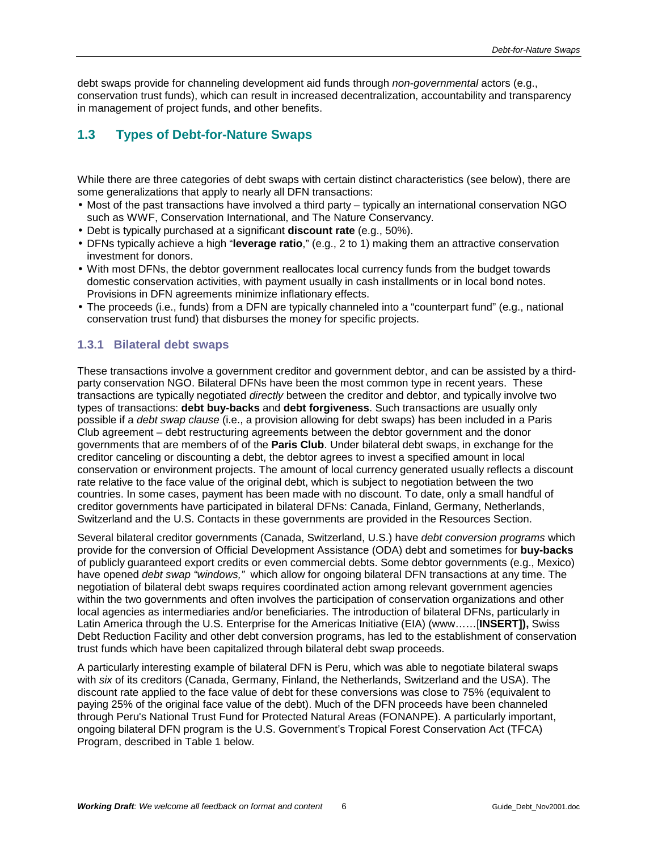<span id="page-5-0"></span>debt swaps provide for channeling development aid funds through *non-governmental* actors (e.g., conservation trust funds), which can result in increased decentralization, accountability and transparency in management of project funds, and other benefits.

# **1.3 Types of Debt-for-Nature Swaps**

While there are three categories of debt swaps with certain distinct characteristics (see below), there are some generalizations that apply to nearly all DFN transactions:

- Most of the past transactions have involved a third party typically an international conservation NGO such as WWF, Conservation International, and The Nature Conservancy.
- Debt is typically purchased at a significant **discount rate** (e.g., 50%).
- DFNs typically achieve a high "**leverage ratio**," (e.g., 2 to 1) making them an attractive conservation investment for donors.
- With most DFNs, the debtor government reallocates local currency funds from the budget towards domestic conservation activities, with payment usually in cash installments or in local bond notes. Provisions in DFN agreements minimize inflationary effects.
- The proceeds (i.e., funds) from a DFN are typically channeled into a "counterpart fund" (e.g., national conservation trust fund) that disburses the money for specific projects.

#### **1.3.1 Bilateral debt swaps**

These transactions involve a government creditor and government debtor, and can be assisted by a thirdparty conservation NGO. Bilateral DFNs have been the most common type in recent years. These transactions are typically negotiated *directly* between the creditor and debtor, and typically involve two types of transactions: **debt buy-backs** and **debt forgiveness**. Such transactions are usually only possible if a *debt swap clause* (i.e., a provision allowing for debt swaps) has been included in a Paris Club agreement – debt restructuring agreements between the debtor government and the donor governments that are members of of the **Paris Club**. Under bilateral debt swaps, in exchange for the creditor canceling or discounting a debt, the debtor agrees to invest a specified amount in local conservation or environment projects. The amount of local currency generated usually reflects a discount rate relative to the face value of the original debt, which is subject to negotiation between the two countries. In some cases, payment has been made with no discount. To date, only a small handful of creditor governments have participated in bilateral DFNs: Canada, Finland, Germany, Netherlands, Switzerland and the U.S. Contacts in these governments are provided in the Resources Section.

Several bilateral creditor governments (Canada, Switzerland, U.S.) have *debt conversion programs* which provide for the conversion of Official Development Assistance (ODA) debt and sometimes for **buy-backs** of publicly guaranteed export credits or even commercial debts. Some debtor governments (e.g., Mexico) have opened *debt swap "windows,"* which allow for ongoing bilateral DFN transactions at any time. The negotiation of bilateral debt swaps requires coordinated action among relevant government agencies within the two governments and often involves the participation of conservation organizations and other local agencies as intermediaries and/or beneficiaries. The introduction of bilateral DFNs, particularly in Latin America through the U.S. Enterprise for the Americas Initiative (EIA) (www……[**INSERT]),** Swiss Debt Reduction Facility and other debt conversion programs, has led to the establishment of conservation trust funds which have been capitalized through bilateral debt swap proceeds.

A particularly interesting example of bilateral DFN is Peru, which was able to negotiate bilateral swaps with *six* of its creditors (Canada, Germany, Finland, the Netherlands, Switzerland and the USA). The discount rate applied to the face value of debt for these conversions was close to 75% (equivalent to paying 25% of the original face value of the debt). Much of the DFN proceeds have been channeled through Peru's National Trust Fund for Protected Natural Areas (FONANPE). A particularly important, ongoing bilateral DFN program is the U.S. Government's Tropical Forest Conservation Act (TFCA) Program, described in Table 1 below.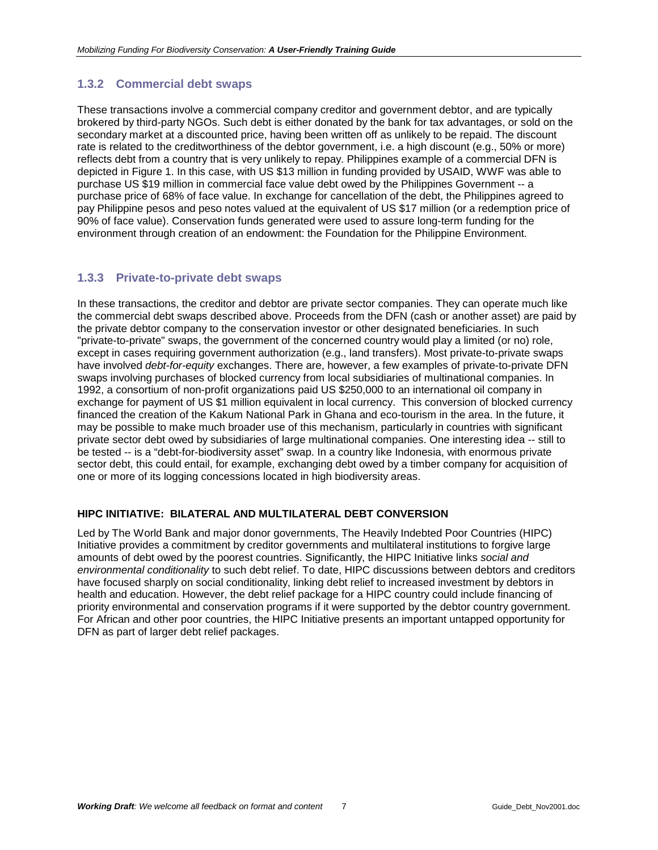# <span id="page-6-0"></span>**1.3.2 Commercial debt swaps**

These transactions involve a commercial company creditor and government debtor, and are typically brokered by third-party NGOs. Such debt is either donated by the bank for tax advantages, or sold on the secondary market at a discounted price, having been written off as unlikely to be repaid. The discount rate is related to the creditworthiness of the debtor government, i.e. a high discount (e.g., 50% or more) reflects debt from a country that is very unlikely to repay. Philippines example of a commercial DFN is depicted in Figure 1. In this case, with US \$13 million in funding provided by USAID, WWF was able to purchase US \$19 million in commercial face value debt owed by the Philippines Government -- a purchase price of 68% of face value. In exchange for cancellation of the debt, the Philippines agreed to pay Philippine pesos and peso notes valued at the equivalent of US \$17 million (or a redemption price of 90% of face value). Conservation funds generated were used to assure long-term funding for the environment through creation of an endowment: the Foundation for the Philippine Environment.

#### **1.3.3 Private-to-private debt swaps**

In these transactions, the creditor and debtor are private sector companies. They can operate much like the commercial debt swaps described above. Proceeds from the DFN (cash or another asset) are paid by the private debtor company to the conservation investor or other designated beneficiaries. In such "private-to-private" swaps, the government of the concerned country would play a limited (or no) role, except in cases requiring government authorization (e.g., land transfers). Most private-to-private swaps have involved *debt-for-equity* exchanges. There are, however, a few examples of private-to-private DFN swaps involving purchases of blocked currency from local subsidiaries of multinational companies. In 1992, a consortium of non-profit organizations paid US \$250,000 to an international oil company in exchange for payment of US \$1 million equivalent in local currency. This conversion of blocked currency financed the creation of the Kakum National Park in Ghana and eco-tourism in the area. In the future, it may be possible to make much broader use of this mechanism, particularly in countries with significant private sector debt owed by subsidiaries of large multinational companies. One interesting idea -- still to be tested -- is a "debt-for-biodiversity asset" swap. In a country like Indonesia, with enormous private sector debt, this could entail, for example, exchanging debt owed by a timber company for acquisition of one or more of its logging concessions located in high biodiversity areas.

#### **HIPC INITIATIVE: BILATERAL AND MULTILATERAL DEBT CONVERSION**

Led by The World Bank and major donor governments, The Heavily Indebted Poor Countries (HIPC) Initiative provides a commitment by creditor governments and multilateral institutions to forgive large amounts of debt owed by the poorest countries. Significantly, the HIPC Initiative links *social and environmental conditionality* to such debt relief. To date, HIPC discussions between debtors and creditors have focused sharply on social conditionality, linking debt relief to increased investment by debtors in health and education. However, the debt relief package for a HIPC country could include financing of priority environmental and conservation programs if it were supported by the debtor country government. For African and other poor countries, the HIPC Initiative presents an important untapped opportunity for DFN as part of larger debt relief packages.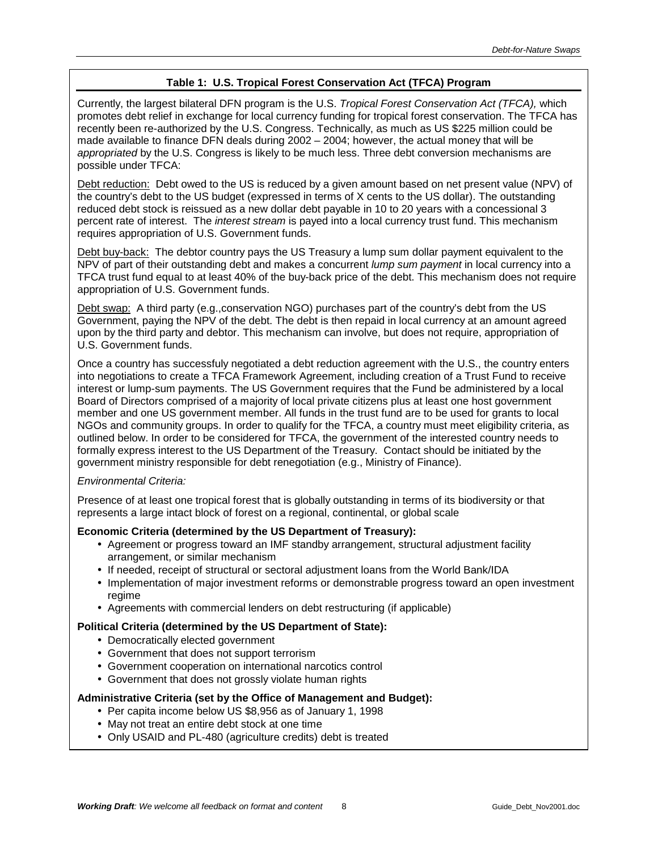#### **Table 1: U.S. Tropical Forest Conservation Act (TFCA) Program**

Currently, the largest bilateral DFN program is the U.S. *Tropical Forest Conservation Act (TFCA),* which promotes debt relief in exchange for local currency funding for tropical forest conservation. The TFCA has recently been re-authorized by the U.S. Congress. Technically, as much as US \$225 million could be made available to finance DFN deals during 2002 – 2004; however, the actual money that will be *appropriated* by the U.S. Congress is likely to be much less. Three debt conversion mechanisms are possible under TFCA:

Debt reduction: Debt owed to the US is reduced by a given amount based on net present value (NPV) of the country's debt to the US budget (expressed in terms of X cents to the US dollar). The outstanding reduced debt stock is reissued as a new dollar debt payable in 10 to 20 years with a concessional 3 percent rate of interest. The *interest stream* is payed into a local currency trust fund. This mechanism requires appropriation of U.S. Government funds.

Debt buy-back: The debtor country pays the US Treasury a lump sum dollar payment equivalent to the NPV of part of their outstanding debt and makes a concurrent *lump sum payment* in local currency into a TFCA trust fund equal to at least 40% of the buy-back price of the debt. This mechanism does not require appropriation of U.S. Government funds.

Debt swap: A third party (e.g.,conservation NGO) purchases part of the country's debt from the US Government, paying the NPV of the debt. The debt is then repaid in local currency at an amount agreed upon by the third party and debtor. This mechanism can involve, but does not require, appropriation of U.S. Government funds.

Once a country has successfuly negotiated a debt reduction agreement with the U.S., the country enters into negotiations to create a TFCA Framework Agreement, including creation of a Trust Fund to receive interest or lump-sum payments. The US Government requires that the Fund be administered by a local Board of Directors comprised of a majority of local private citizens plus at least one host government member and one US government member. All funds in the trust fund are to be used for grants to local NGOs and community groups. In order to qualify for the TFCA, a country must meet eligibility criteria, as outlined below. In order to be considered for TFCA, the government of the interested country needs to formally express interest to the US Department of the Treasury. Contact should be initiated by the government ministry responsible for debt renegotiation (e.g., Ministry of Finance).

#### *Environmental Criteria:*

Presence of at least one tropical forest that is globally outstanding in terms of its biodiversity or that represents a large intact block of forest on a regional, continental, or global scale

#### **Economic Criteria (determined by the US Department of Treasury):**

- Agreement or progress toward an IMF standby arrangement, structural adjustment facility arrangement, or similar mechanism
- If needed, receipt of structural or sectoral adjustment loans from the World Bank/IDA
- Implementation of major investment reforms or demonstrable progress toward an open investment regime
- Agreements with commercial lenders on debt restructuring (if applicable)

#### **Political Criteria (determined by the US Department of State):**

- Democratically elected government
- Government that does not support terrorism
- Government cooperation on international narcotics control
- Government that does not grossly violate human rights

#### **Administrative Criteria (set by the Office of Management and Budget):**

- Per capita income below US \$8,956 as of January 1, 1998
- May not treat an entire debt stock at one time
- Only USAID and PL-480 (agriculture credits) debt is treated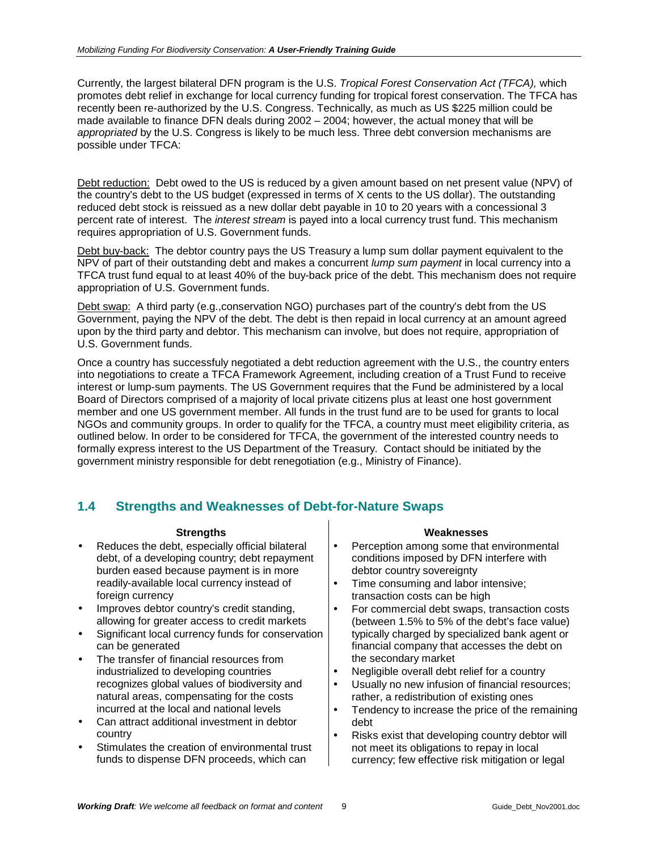<span id="page-8-0"></span>Currently, the largest bilateral DFN program is the U.S. *Tropical Forest Conservation Act (TFCA),* which promotes debt relief in exchange for local currency funding for tropical forest conservation. The TFCA has recently been re-authorized by the U.S. Congress. Technically, as much as US \$225 million could be made available to finance DFN deals during 2002 – 2004; however, the actual money that will be *appropriated* by the U.S. Congress is likely to be much less. Three debt conversion mechanisms are possible under TFCA:

Debt reduction: Debt owed to the US is reduced by a given amount based on net present value (NPV) of the country's debt to the US budget (expressed in terms of X cents to the US dollar). The outstanding reduced debt stock is reissued as a new dollar debt payable in 10 to 20 years with a concessional 3 percent rate of interest. The *interest stream* is payed into a local currency trust fund. This mechanism requires appropriation of U.S. Government funds.

Debt buy-back: The debtor country pays the US Treasury a lump sum dollar payment equivalent to the NPV of part of their outstanding debt and makes a concurrent *lump sum payment* in local currency into a TFCA trust fund equal to at least 40% of the buy-back price of the debt. This mechanism does not require appropriation of U.S. Government funds.

Debt swap: A third party (e.g.,conservation NGO) purchases part of the country's debt from the US Government, paying the NPV of the debt. The debt is then repaid in local currency at an amount agreed upon by the third party and debtor. This mechanism can involve, but does not require, appropriation of U.S. Government funds.

Once a country has successfuly negotiated a debt reduction agreement with the U.S., the country enters into negotiations to create a TFCA Framework Agreement, including creation of a Trust Fund to receive interest or lump-sum payments. The US Government requires that the Fund be administered by a local Board of Directors comprised of a majority of local private citizens plus at least one host government member and one US government member. All funds in the trust fund are to be used for grants to local NGOs and community groups. In order to qualify for the TFCA, a country must meet eligibility criteria, as outlined below. In order to be considered for TFCA, the government of the interested country needs to formally express interest to the US Department of the Treasury. Contact should be initiated by the government ministry responsible for debt renegotiation (e.g., Ministry of Finance).

# **1.4 Strengths and Weaknesses of Debt-for-Nature Swaps**

- Reduces the debt, especially official bilateral debt, of a developing country; debt repayment burden eased because payment is in more readily-available local currency instead of foreign currency
- Improves debtor country's credit standing, allowing for greater access to credit markets
- Significant local currency funds for conservation can be generated
- The transfer of financial resources from industrialized to developing countries recognizes global values of biodiversity and natural areas, compensating for the costs incurred at the local and national levels
- Can attract additional investment in debtor country
- Stimulates the creation of environmental trust funds to dispense DFN proceeds, which can

#### **Strengths Weaknesses**

- Perception among some that environmental conditions imposed by DFN interfere with debtor country sovereignty
- Time consuming and labor intensive; transaction costs can be high
- For commercial debt swaps, transaction costs (between 1.5% to 5% of the debt's face value) typically charged by specialized bank agent or financial company that accesses the debt on the secondary market
- Negligible overall debt relief for a country
- Usually no new infusion of financial resources; rather, a redistribution of existing ones
- Tendency to increase the price of the remaining debt
- Risks exist that developing country debtor will not meet its obligations to repay in local currency; few effective risk mitigation or legal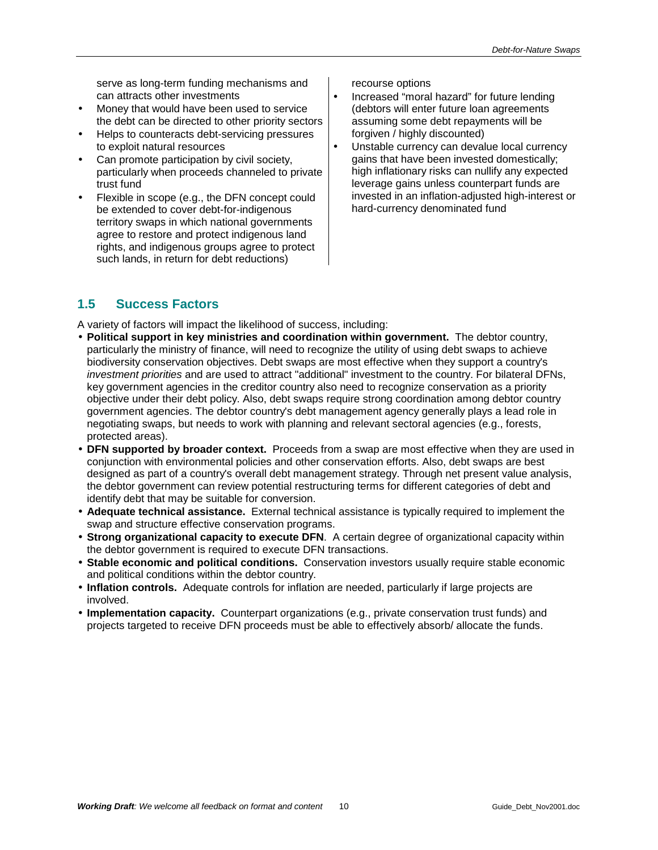serve as long-term funding mechanisms and can attracts other investments

- Money that would have been used to service the debt can be directed to other priority sectors
- Helps to counteracts debt-servicing pressures to exploit natural resources
- Can promote participation by civil society, particularly when proceeds channeled to private trust fund
- Flexible in scope (e.g., the DFN concept could be extended to cover debt-for-indigenous territory swaps in which national governments agree to restore and protect indigenous land rights, and indigenous groups agree to protect such lands, in return for debt reductions)

recourse options

- Increased "moral hazard" for future lending (debtors will enter future loan agreements assuming some debt repayments will be forgiven / highly discounted)
- Unstable currency can devalue local currency gains that have been invested domestically; high inflationary risks can nullify any expected leverage gains unless counterpart funds are invested in an inflation-adjusted high-interest or hard-currency denominated fund

# **1.5 Success Factors**

A variety of factors will impact the likelihood of success, including:

- **Political support in key ministries and coordination within government.** The debtor country, particularly the ministry of finance, will need to recognize the utility of using debt swaps to achieve biodiversity conservation objectives. Debt swaps are most effective when they support a country's *investment priorities* and are used to attract "additional" investment to the country. For bilateral DFNs, key government agencies in the creditor country also need to recognize conservation as a priority objective under their debt policy. Also, debt swaps require strong coordination among debtor country government agencies. The debtor country's debt management agency generally plays a lead role in negotiating swaps, but needs to work with planning and relevant sectoral agencies (e.g., forests, protected areas).
- **DFN supported by broader context.** Proceeds from a swap are most effective when they are used in conjunction with environmental policies and other conservation efforts. Also, debt swaps are best designed as part of a country's overall debt management strategy. Through net present value analysis, the debtor government can review potential restructuring terms for different categories of debt and identify debt that may be suitable for conversion.
- **Adequate technical assistance.** External technical assistance is typically required to implement the swap and structure effective conservation programs.
- **Strong organizational capacity to execute DFN**. A certain degree of organizational capacity within the debtor government is required to execute DFN transactions.
- **Stable economic and political conditions.** Conservation investors usually require stable economic and political conditions within the debtor country.
- **Inflation controls.** Adequate controls for inflation are needed, particularly if large projects are involved.
- **Implementation capacity.** Counterpart organizations (e.g., private conservation trust funds) and projects targeted to receive DFN proceeds must be able to effectively absorb/ allocate the funds.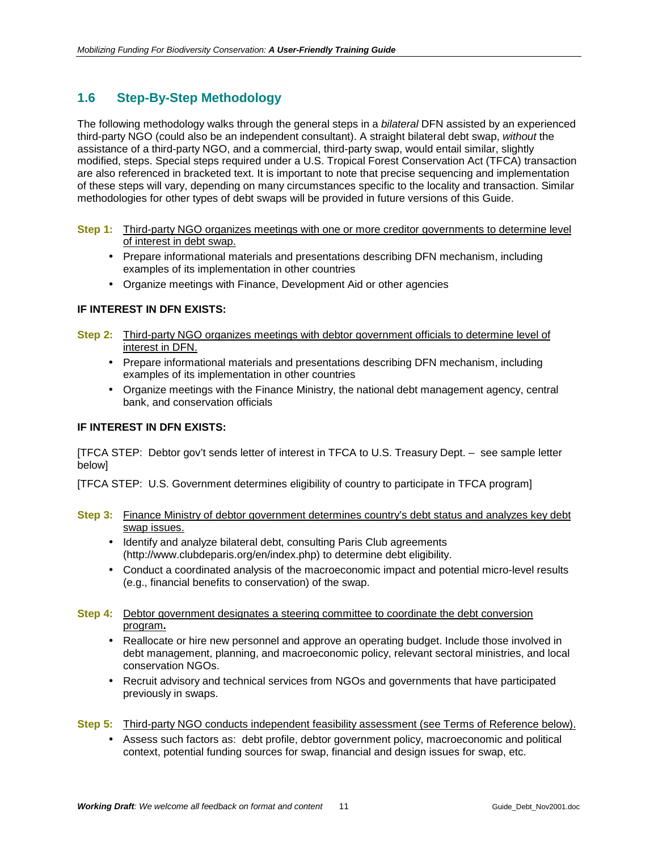# <span id="page-10-0"></span>**1.6 Step-By-Step Methodology**

The following methodology walks through the general steps in a *bilateral* DFN assisted by an experienced third-party NGO (could also be an independent consultant). A straight bilateral debt swap, *without* the assistance of a third-party NGO, and a commercial, third-party swap, would entail similar, slightly modified, steps. Special steps required under a U.S. Tropical Forest Conservation Act (TFCA) transaction are also referenced in bracketed text. It is important to note that precise sequencing and implementation of these steps will vary, depending on many circumstances specific to the locality and transaction. Similar methodologies for other types of debt swaps will be provided in future versions of this Guide.

- **Step 1:** Third-party NGO organizes meetings with one or more creditor governments to determine level of interest in debt swap.
	- Prepare informational materials and presentations describing DFN mechanism, including examples of its implementation in other countries
	- Organize meetings with Finance, Development Aid or other agencies

#### **IF INTEREST IN DFN EXISTS:**

- **Step 2:** Third-party NGO organizes meetings with debtor government officials to determine level of interest in DFN.
	- Prepare informational materials and presentations describing DFN mechanism, including examples of its implementation in other countries
	- Organize meetings with the Finance Ministry, the national debt management agency, central bank, and conservation officials

#### **IF INTEREST IN DFN EXISTS:**

[TFCA STEP: Debtor gov't sends letter of interest in TFCA to U.S. Treasury Dept. – see sample letter below]

[TFCA STEP: U.S. Government determines eligibility of country to participate in TFCA program]

- **Step 3:** Finance Ministry of debtor government determines country's debt status and analyzes key debt swap issues.
	- Identify and analyze bilateral debt, consulting Paris Club agreements (http://www.clubdeparis.org/en/index.php) to determine debt eligibility.
	- Conduct a coordinated analysis of the macroeconomic impact and potential micro-level results (e.g., financial benefits to conservation) of the swap.
- **Step 4:** Debtor government designates a steering committee to coordinate the debt conversion program**.**
	- Reallocate or hire new personnel and approve an operating budget. Include those involved in debt management, planning, and macroeconomic policy, relevant sectoral ministries, and local conservation NGOs.
	- Recruit advisory and technical services from NGOs and governments that have participated previously in swaps.
- **Step 5:** Third-party NGO conducts independent feasibility assessment (see Terms of Reference below).
	- Assess such factors as: debt profile, debtor government policy, macroeconomic and political context, potential funding sources for swap, financial and design issues for swap, etc.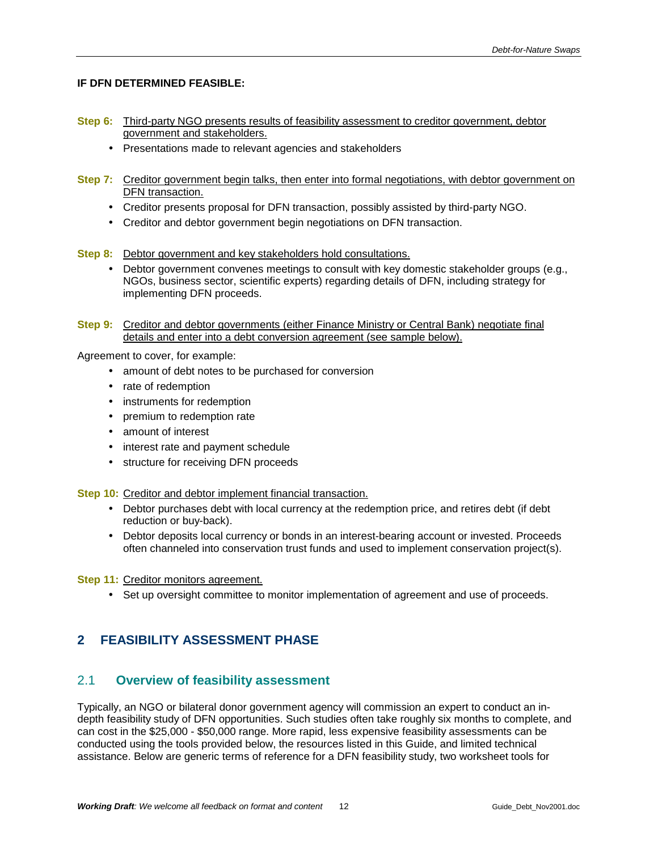#### <span id="page-11-0"></span>**IF DFN DETERMINED FEASIBLE:**

- **Step 6:** Third-party NGO presents results of feasibility assessment to creditor government, debtor government and stakeholders.
	- Presentations made to relevant agencies and stakeholders
- **Step 7:** Creditor government begin talks, then enter into formal negotiations, with debtor government on DFN transaction.
	- Creditor presents proposal for DFN transaction, possibly assisted by third-party NGO.
	- Creditor and debtor government begin negotiations on DFN transaction.

#### **Step 8:** Debtor government and key stakeholders hold consultations.

- Debtor government convenes meetings to consult with key domestic stakeholder groups (e.g., NGOs, business sector, scientific experts) regarding details of DFN, including strategy for implementing DFN proceeds.
- **Step 9:** Creditor and debtor governments (either Finance Ministry or Central Bank) negotiate final details and enter into a debt conversion agreement (see sample below).

Agreement to cover, for example:

- amount of debt notes to be purchased for conversion
- rate of redemption
- instruments for redemption
- premium to redemption rate
- amount of interest
- interest rate and payment schedule
- structure for receiving DFN proceeds

**Step 10:** Creditor and debtor implement financial transaction.

- Debtor purchases debt with local currency at the redemption price, and retires debt (if debt reduction or buy-back).
- Debtor deposits local currency or bonds in an interest-bearing account or invested. Proceeds often channeled into conservation trust funds and used to implement conservation project(s).

**Step 11: Creditor monitors agreement.** 

• Set up oversight committee to monitor implementation of agreement and use of proceeds.

# **2 FEASIBILITY ASSESSMENT PHASE**

#### 2.1 **Overview of feasibility assessment**

Typically, an NGO or bilateral donor government agency will commission an expert to conduct an indepth feasibility study of DFN opportunities. Such studies often take roughly six months to complete, and can cost in the \$25,000 - \$50,000 range. More rapid, less expensive feasibility assessments can be conducted using the tools provided below, the resources listed in this Guide, and limited technical assistance. Below are generic terms of reference for a DFN feasibility study, two worksheet tools for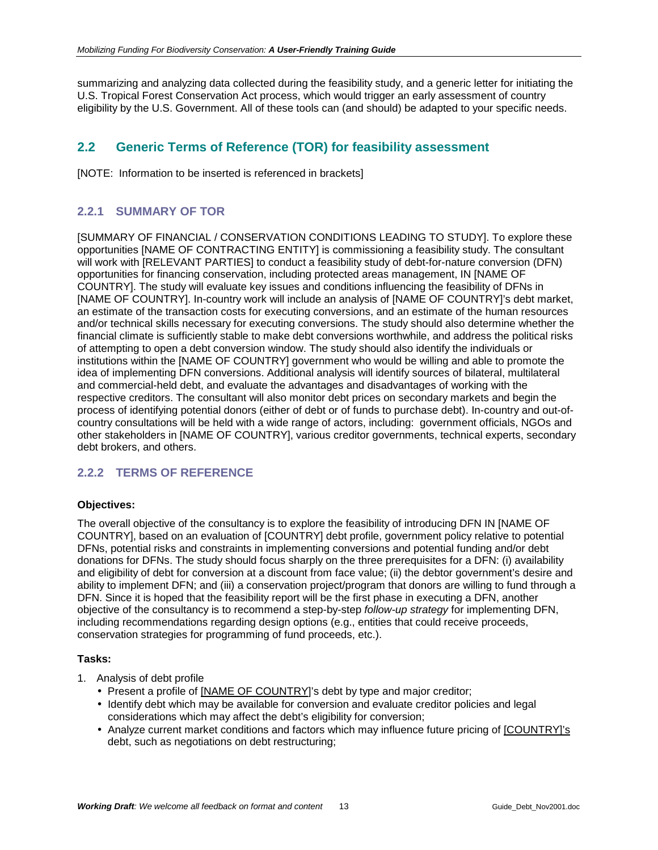<span id="page-12-0"></span>summarizing and analyzing data collected during the feasibility study, and a generic letter for initiating the U.S. Tropical Forest Conservation Act process, which would trigger an early assessment of country eligibility by the U.S. Government. All of these tools can (and should) be adapted to your specific needs.

# **2.2 Generic Terms of Reference (TOR) for feasibility assessment**

[NOTE: Information to be inserted is referenced in brackets]

# **2.2.1 SUMMARY OF TOR**

[SUMMARY OF FINANCIAL / CONSERVATION CONDITIONS LEADING TO STUDY]. To explore these opportunities [NAME OF CONTRACTING ENTITY] is commissioning a feasibility study. The consultant will work with [RELEVANT PARTIES] to conduct a feasibility study of debt-for-nature conversion (DFN) opportunities for financing conservation, including protected areas management, IN [NAME OF COUNTRY]. The study will evaluate key issues and conditions influencing the feasibility of DFNs in [NAME OF COUNTRY]. In-country work will include an analysis of [NAME OF COUNTRY]'s debt market, an estimate of the transaction costs for executing conversions, and an estimate of the human resources and/or technical skills necessary for executing conversions. The study should also determine whether the financial climate is sufficiently stable to make debt conversions worthwhile, and address the political risks of attempting to open a debt conversion window. The study should also identify the individuals or institutions within the [NAME OF COUNTRY] government who would be willing and able to promote the idea of implementing DFN conversions. Additional analysis will identify sources of bilateral, multilateral and commercial-held debt, and evaluate the advantages and disadvantages of working with the respective creditors. The consultant will also monitor debt prices on secondary markets and begin the process of identifying potential donors (either of debt or of funds to purchase debt). In-country and out-ofcountry consultations will be held with a wide range of actors, including: government officials, NGOs and other stakeholders in [NAME OF COUNTRY], various creditor governments, technical experts, secondary debt brokers, and others.

# **2.2.2 TERMS OF REFERENCE**

#### **Objectives:**

The overall objective of the consultancy is to explore the feasibility of introducing DFN IN [NAME OF COUNTRY], based on an evaluation of [COUNTRY] debt profile, government policy relative to potential DFNs, potential risks and constraints in implementing conversions and potential funding and/or debt donations for DFNs. The study should focus sharply on the three prerequisites for a DFN: (i) availability and eligibility of debt for conversion at a discount from face value; (ii) the debtor government's desire and ability to implement DFN; and (iii) a conservation project/program that donors are willing to fund through a DFN. Since it is hoped that the feasibility report will be the first phase in executing a DFN, another objective of the consultancy is to recommend a step-by-step *follow-up strategy* for implementing DFN, including recommendations regarding design options (e.g., entities that could receive proceeds, conservation strategies for programming of fund proceeds, etc.).

#### **Tasks:**

- 1. Analysis of debt profile
	- Present a profile of [NAME OF COUNTRY]'s debt by type and major creditor;
	- Identify debt which may be available for conversion and evaluate creditor policies and legal considerations which may affect the debt's eligibility for conversion;
	- Analyze current market conditions and factors which may influence future pricing of [COUNTRY]'s debt, such as negotiations on debt restructuring;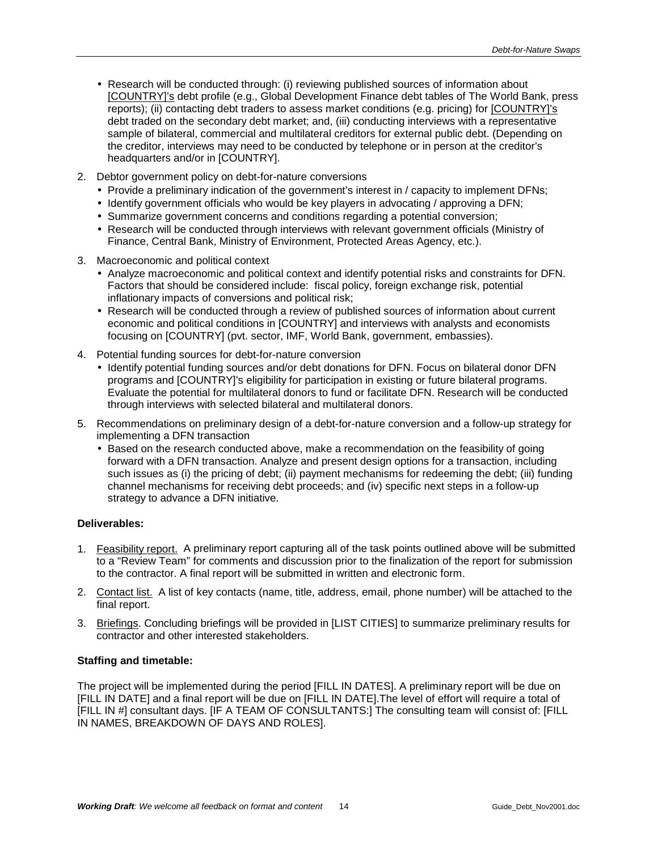- Research will be conducted through: (i) reviewing published sources of information about [COUNTRY]'s debt profile (e.g., Global Development Finance debt tables of The World Bank, press reports); (ii) contacting debt traders to assess market conditions (e.g. pricing) for [COUNTRY]'s debt traded on the secondary debt market; and, (iii) conducting interviews with a representative sample of bilateral, commercial and multilateral creditors for external public debt. (Depending on the creditor, interviews may need to be conducted by telephone or in person at the creditor's headquarters and/or in [COUNTRY].
- 2. Debtor government policy on debt-for-nature conversions
	- Provide a preliminary indication of the government's interest in / capacity to implement DFNs;
	- Identify government officials who would be key players in advocating / approving a DFN;
	- Summarize government concerns and conditions regarding a potential conversion;
	- Research will be conducted through interviews with relevant government officials (Ministry of Finance, Central Bank, Ministry of Environment, Protected Areas Agency, etc.).
- 3. Macroeconomic and political context
	- Analyze macroeconomic and political context and identify potential risks and constraints for DFN. Factors that should be considered include: fiscal policy, foreign exchange risk, potential inflationary impacts of conversions and political risk;
	- Research will be conducted through a review of published sources of information about current economic and political conditions in [COUNTRY] and interviews with analysts and economists focusing on [COUNTRY] (pvt. sector, IMF, World Bank, government, embassies).
- 4. Potential funding sources for debt-for-nature conversion
	- Identify potential funding sources and/or debt donations for DFN. Focus on bilateral donor DFN programs and [COUNTRY]'s eligibility for participation in existing or future bilateral programs. Evaluate the potential for multilateral donors to fund or facilitate DFN. Research will be conducted through interviews with selected bilateral and multilateral donors.
- 5. Recommendations on preliminary design of a debt-for-nature conversion and a follow-up strategy for implementing a DFN transaction
	- Based on the research conducted above, make a recommendation on the feasibility of going forward with a DFN transaction. Analyze and present design options for a transaction, including such issues as (i) the pricing of debt; (ii) payment mechanisms for redeeming the debt; (iii) funding channel mechanisms for receiving debt proceeds; and (iv) specific next steps in a follow-up strategy to advance a DFN initiative.

#### **Deliverables:**

- 1. Feasibility report. A preliminary report capturing all of the task points outlined above will be submitted to a "Review Team" for comments and discussion prior to the finalization of the report for submission to the contractor. A final report will be submitted in written and electronic form.
- 2. Contact list. A list of key contacts (name, title, address, email, phone number) will be attached to the final report.
- 3. Briefings. Concluding briefings will be provided in [LIST CITIES] to summarize preliminary results for contractor and other interested stakeholders.

#### **Staffing and timetable:**

The project will be implemented during the period [FILL IN DATES]. A preliminary report will be due on [FILL IN DATE] and a final report will be due on [FILL IN DATE].The level of effort will require a total of [FILL IN #] consultant days. [IF A TEAM OF CONSULTANTS:] The consulting team will consist of: [FILL IN NAMES, BREAKDOWN OF DAYS AND ROLES].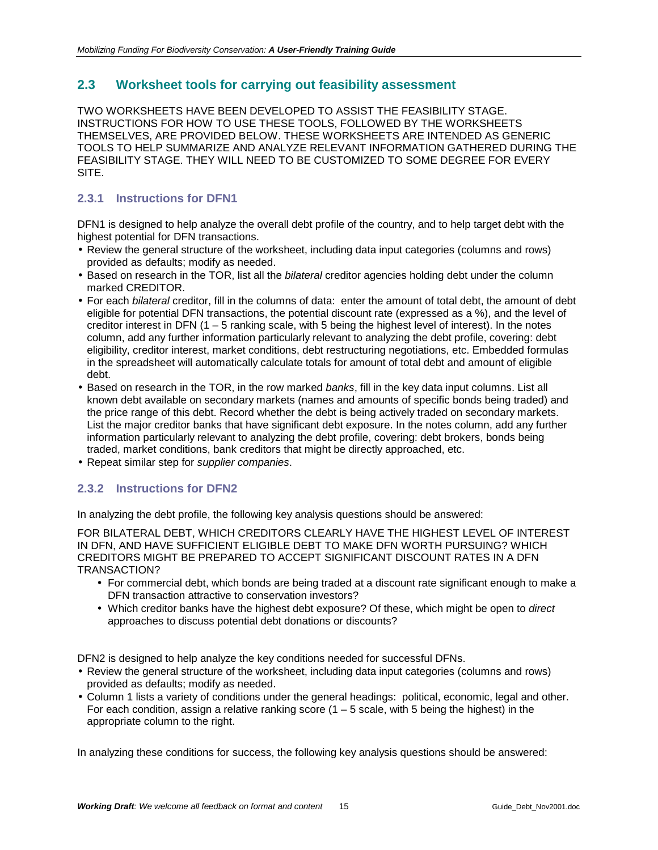# <span id="page-14-0"></span>**2.3 Worksheet tools for carrying out feasibility assessment**

TWO WORKSHEETS HAVE BEEN DEVELOPED TO ASSIST THE FEASIBILITY STAGE. INSTRUCTIONS FOR HOW TO USE THESE TOOLS, FOLLOWED BY THE WORKSHEETS THEMSELVES, ARE PROVIDED BELOW. THESE WORKSHEETS ARE INTENDED AS GENERIC TOOLS TO HELP SUMMARIZE AND ANALYZE RELEVANT INFORMATION GATHERED DURING THE FEASIBILITY STAGE. THEY WILL NEED TO BE CUSTOMIZED TO SOME DEGREE FOR EVERY SITE.

# **2.3.1 Instructions for DFN1**

DFN1 is designed to help analyze the overall debt profile of the country, and to help target debt with the highest potential for DFN transactions.

- Review the general structure of the worksheet, including data input categories (columns and rows) provided as defaults; modify as needed.
- Based on research in the TOR, list all the *bilateral* creditor agencies holding debt under the column marked CREDITOR.
- For each *bilateral* creditor, fill in the columns of data: enter the amount of total debt, the amount of debt eligible for potential DFN transactions, the potential discount rate (expressed as a %), and the level of creditor interest in DFN  $(1 - 5)$  ranking scale, with 5 being the highest level of interest). In the notes column, add any further information particularly relevant to analyzing the debt profile, covering: debt eligibility, creditor interest, market conditions, debt restructuring negotiations, etc. Embedded formulas in the spreadsheet will automatically calculate totals for amount of total debt and amount of eligible debt.
- Based on research in the TOR, in the row marked *banks*, fill in the key data input columns. List all known debt available on secondary markets (names and amounts of specific bonds being traded) and the price range of this debt. Record whether the debt is being actively traded on secondary markets. List the major creditor banks that have significant debt exposure. In the notes column, add any further information particularly relevant to analyzing the debt profile, covering: debt brokers, bonds being traded, market conditions, bank creditors that might be directly approached, etc.
- Repeat similar step for *supplier companies*.

# **2.3.2 Instructions for DFN2**

In analyzing the debt profile, the following key analysis questions should be answered:

FOR BILATERAL DEBT, WHICH CREDITORS CLEARLY HAVE THE HIGHEST LEVEL OF INTEREST IN DFN, AND HAVE SUFFICIENT ELIGIBLE DEBT TO MAKE DFN WORTH PURSUING? WHICH CREDITORS MIGHT BE PREPARED TO ACCEPT SIGNIFICANT DISCOUNT RATES IN A DFN TRANSACTION?

- For commercial debt, which bonds are being traded at a discount rate significant enough to make a DFN transaction attractive to conservation investors?
- Which creditor banks have the highest debt exposure? Of these, which might be open to *direct* approaches to discuss potential debt donations or discounts?

DFN2 is designed to help analyze the key conditions needed for successful DFNs.

- Review the general structure of the worksheet, including data input categories (columns and rows) provided as defaults; modify as needed.
- Column 1 lists a variety of conditions under the general headings: political, economic, legal and other. For each condition, assign a relative ranking score  $(1 - 5 \text{ scale}, \text{with } 5 \text{ being the highest})$  in the appropriate column to the right.

In analyzing these conditions for success, the following key analysis questions should be answered: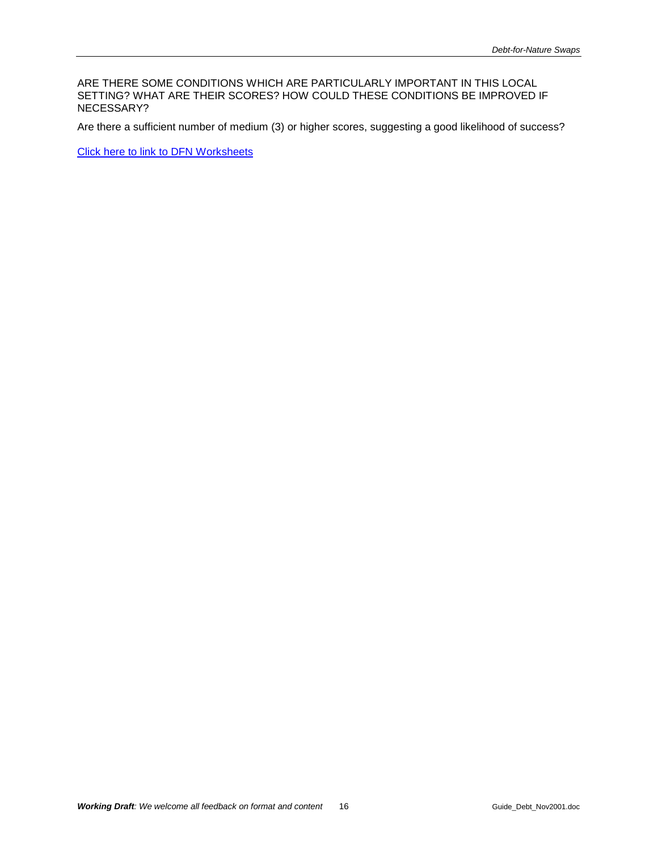ARE THERE SOME CONDITIONS WHICH ARE PARTICULARLY IMPORTANT IN THIS LOCAL SETTING? WHAT ARE THEIR SCORES? HOW COULD THESE CONDITIONS BE IMPROVED IF NECESSARY?

Are there a sufficient number of medium (3) or higher scores, suggesting a good likelihood of success?

Click here to link to DFN Worksheets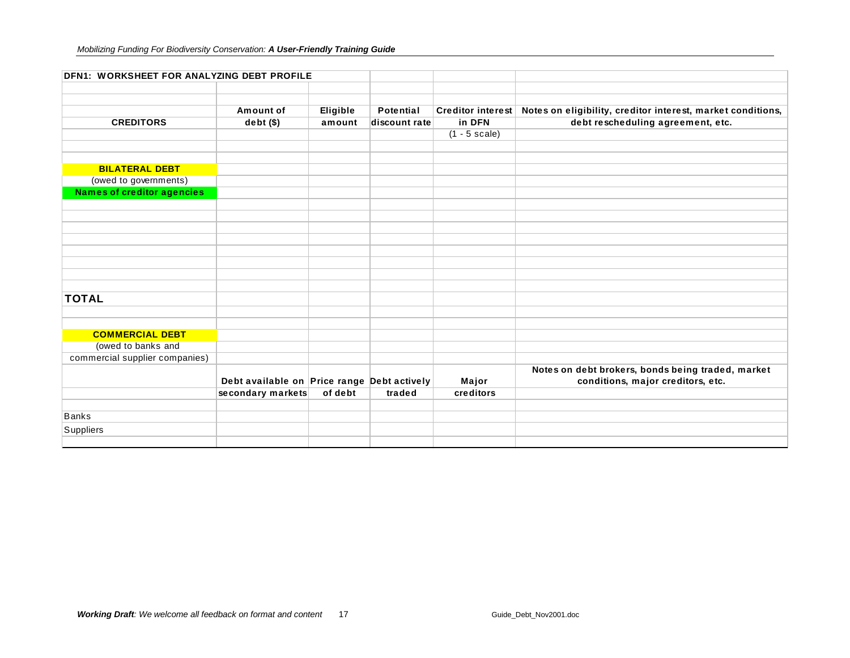| DFN1: WORKSHEET FOR ANALYZING DEBT PROFILE |                                             |          |                  |                         |                                                             |
|--------------------------------------------|---------------------------------------------|----------|------------------|-------------------------|-------------------------------------------------------------|
|                                            |                                             |          |                  |                         |                                                             |
|                                            | Amount of                                   | Eligible | <b>Potential</b> | Creditor interest       | Notes on eligibility, creditor interest, market conditions, |
| <b>CREDITORS</b>                           | $debt($ \$)                                 | amount   | discount rate    | in DFN                  | debt rescheduling agreement, etc.                           |
|                                            |                                             |          |                  | $(1 - 5 \text{ scale})$ |                                                             |
|                                            |                                             |          |                  |                         |                                                             |
|                                            |                                             |          |                  |                         |                                                             |
| <b>BILATERAL DEBT</b>                      |                                             |          |                  |                         |                                                             |
| (owed to governments)                      |                                             |          |                  |                         |                                                             |
| <b>Names of creditor agencies</b>          |                                             |          |                  |                         |                                                             |
|                                            |                                             |          |                  |                         |                                                             |
|                                            |                                             |          |                  |                         |                                                             |
|                                            |                                             |          |                  |                         |                                                             |
|                                            |                                             |          |                  |                         |                                                             |
|                                            |                                             |          |                  |                         |                                                             |
|                                            |                                             |          |                  |                         |                                                             |
|                                            |                                             |          |                  |                         |                                                             |
|                                            |                                             |          |                  |                         |                                                             |
| <b>TOTAL</b>                               |                                             |          |                  |                         |                                                             |
|                                            |                                             |          |                  |                         |                                                             |
|                                            |                                             |          |                  |                         |                                                             |
| <b>COMMERCIAL DEBT</b>                     |                                             |          |                  |                         |                                                             |
| (owed to banks and                         |                                             |          |                  |                         |                                                             |
| commercial supplier companies)             |                                             |          |                  |                         |                                                             |
|                                            |                                             |          |                  |                         | Notes on debt brokers, bonds being traded, market           |
|                                            | Debt available on Price range Debt actively |          |                  | Major                   | conditions, major creditors, etc.                           |
|                                            | secondary markets                           | of debt  | traded           | creditors               |                                                             |
|                                            |                                             |          |                  |                         |                                                             |
| <b>Banks</b>                               |                                             |          |                  |                         |                                                             |
| Suppliers                                  |                                             |          |                  |                         |                                                             |
|                                            |                                             |          |                  |                         |                                                             |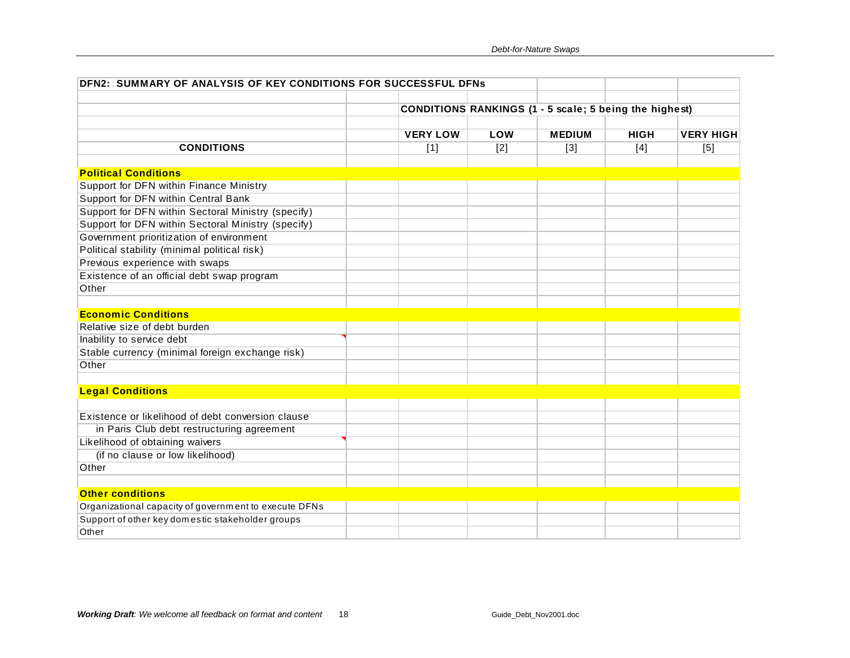| DFN2: SUMMARY OF ANALYSIS OF KEY CONDITIONS FOR SUCCESSFUL DFNs |                                                               |       |               |             |                  |
|-----------------------------------------------------------------|---------------------------------------------------------------|-------|---------------|-------------|------------------|
|                                                                 |                                                               |       |               |             |                  |
|                                                                 | <b>CONDITIONS RANKINGS (1 - 5 scale; 5 being the highest)</b> |       |               |             |                  |
|                                                                 | <b>VERY LOW</b>                                               | LOW   | <b>MEDIUM</b> | <b>HIGH</b> | <b>VERY HIGH</b> |
| <b>CONDITIONS</b>                                               | $[1]$                                                         | $[2]$ | $[3]$         | $[4]$       | [5]              |
|                                                                 |                                                               |       |               |             |                  |
| <b>Political Conditions</b>                                     |                                                               |       |               |             |                  |
| Support for DFN within Finance Ministry                         |                                                               |       |               |             |                  |
| Support for DFN within Central Bank                             |                                                               |       |               |             |                  |
| Support for DFN within Sectoral Ministry (specify)              |                                                               |       |               |             |                  |
| Support for DFN within Sectoral Ministry (specify)              |                                                               |       |               |             |                  |
| Government prioritization of environment                        |                                                               |       |               |             |                  |
| Political stability (minimal political risk)                    |                                                               |       |               |             |                  |
| Previous experience with swaps                                  |                                                               |       |               |             |                  |
| Existence of an official debt swap program                      |                                                               |       |               |             |                  |
| Other                                                           |                                                               |       |               |             |                  |
|                                                                 |                                                               |       |               |             |                  |
| <b>Economic Conditions</b>                                      |                                                               |       |               |             |                  |
| Relative size of debt burden                                    |                                                               |       |               |             |                  |
| Inability to service debt                                       |                                                               |       |               |             |                  |
| Stable currency (minimal foreign exchange risk)                 |                                                               |       |               |             |                  |
| Other                                                           |                                                               |       |               |             |                  |
|                                                                 |                                                               |       |               |             |                  |
| <b>Legal Conditions</b>                                         |                                                               |       |               |             |                  |
|                                                                 |                                                               |       |               |             |                  |
| Existence or likelihood of debt conversion clause               |                                                               |       |               |             |                  |
| in Paris Club debt restructuring agreement                      |                                                               |       |               |             |                  |
| Likelihood of obtaining waivers                                 |                                                               |       |               |             |                  |
| (if no clause or low likelihood)                                |                                                               |       |               |             |                  |
| Other                                                           |                                                               |       |               |             |                  |
|                                                                 |                                                               |       |               |             |                  |
| <b>Other conditions</b>                                         |                                                               |       |               |             |                  |
| Organizational capacity of government to execute DFNs           |                                                               |       |               |             |                  |
| Support of other key domestic stakeholder groups                |                                                               |       |               |             |                  |
| Other                                                           |                                                               |       |               |             |                  |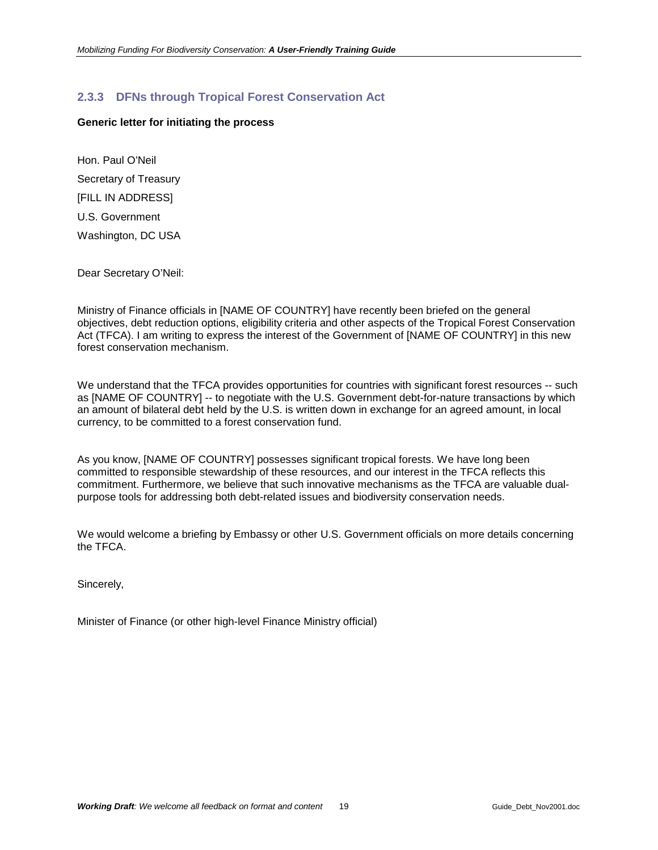# <span id="page-18-0"></span>**2.3.3 DFNs through Tropical Forest Conservation Act**

#### **Generic letter for initiating the process**

Hon. Paul O'Neil Secretary of Treasury [FILL IN ADDRESS] U.S. Government Washington, DC USA

Dear Secretary O'Neil:

Ministry of Finance officials in [NAME OF COUNTRY] have recently been briefed on the general objectives, debt reduction options, eligibility criteria and other aspects of the Tropical Forest Conservation Act (TFCA). I am writing to express the interest of the Government of [NAME OF COUNTRY] in this new forest conservation mechanism.

We understand that the TFCA provides opportunities for countries with significant forest resources -- such as [NAME OF COUNTRY] -- to negotiate with the U.S. Government debt-for-nature transactions by which an amount of bilateral debt held by the U.S. is written down in exchange for an agreed amount, in local currency, to be committed to a forest conservation fund.

As you know, [NAME OF COUNTRY] possesses significant tropical forests. We have long been committed to responsible stewardship of these resources, and our interest in the TFCA reflects this commitment. Furthermore, we believe that such innovative mechanisms as the TFCA are valuable dualpurpose tools for addressing both debt-related issues and biodiversity conservation needs.

We would welcome a briefing by Embassy or other U.S. Government officials on more details concerning the TFCA.

Sincerely,

Minister of Finance (or other high-level Finance Ministry official)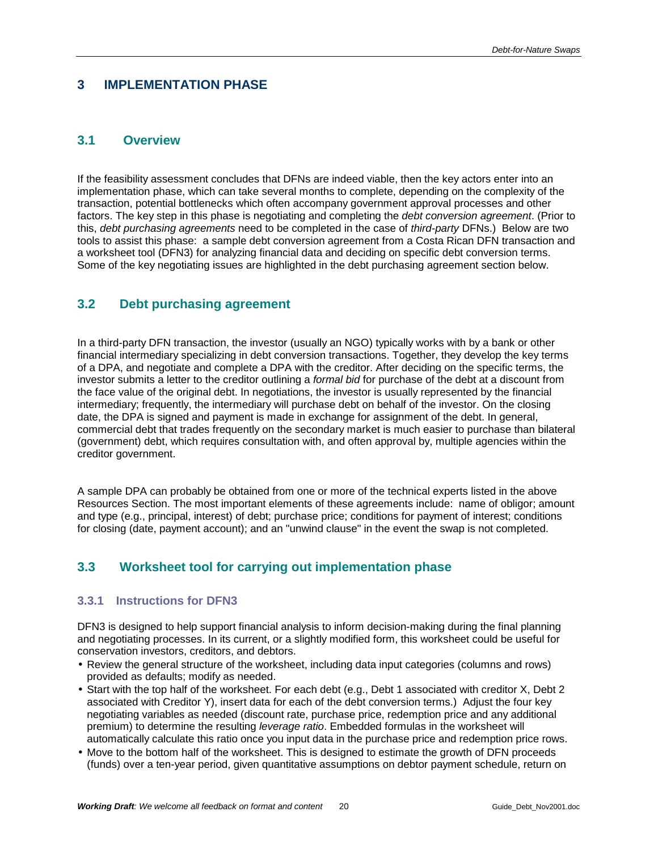# <span id="page-19-0"></span>**3 IMPLEMENTATION PHASE**

# **3.1 Overview**

If the feasibility assessment concludes that DFNs are indeed viable, then the key actors enter into an implementation phase, which can take several months to complete, depending on the complexity of the transaction, potential bottlenecks which often accompany government approval processes and other factors. The key step in this phase is negotiating and completing the *debt conversion agreement*. (Prior to this, *debt purchasing agreements* need to be completed in the case of *third-party* DFNs.) Below are two tools to assist this phase: a sample debt conversion agreement from a Costa Rican DFN transaction and a worksheet tool (DFN3) for analyzing financial data and deciding on specific debt conversion terms. Some of the key negotiating issues are highlighted in the debt purchasing agreement section below.

# **3.2 Debt purchasing agreement**

In a third-party DFN transaction, the investor (usually an NGO) typically works with by a bank or other financial intermediary specializing in debt conversion transactions. Together, they develop the key terms of a DPA, and negotiate and complete a DPA with the creditor. After deciding on the specific terms, the investor submits a letter to the creditor outlining a *formal bid* for purchase of the debt at a discount from the face value of the original debt. In negotiations, the investor is usually represented by the financial intermediary; frequently, the intermediary will purchase debt on behalf of the investor. On the closing date, the DPA is signed and payment is made in exchange for assignment of the debt. In general, commercial debt that trades frequently on the secondary market is much easier to purchase than bilateral (government) debt, which requires consultation with, and often approval by, multiple agencies within the creditor government.

A sample DPA can probably be obtained from one or more of the technical experts listed in the above Resources Section. The most important elements of these agreements include: name of obligor; amount and type (e.g., principal, interest) of debt; purchase price; conditions for payment of interest; conditions for closing (date, payment account); and an "unwind clause" in the event the swap is not completed.

# **3.3 Worksheet tool for carrying out implementation phase**

#### **3.3.1 Instructions for DFN3**

DFN3 is designed to help support financial analysis to inform decision-making during the final planning and negotiating processes. In its current, or a slightly modified form, this worksheet could be useful for conservation investors, creditors, and debtors.

- Review the general structure of the worksheet, including data input categories (columns and rows) provided as defaults; modify as needed.
- Start with the top half of the worksheet. For each debt (e.g., Debt 1 associated with creditor X, Debt 2 associated with Creditor Y), insert data for each of the debt conversion terms.) Adjust the four key negotiating variables as needed (discount rate, purchase price, redemption price and any additional premium) to determine the resulting *leverage ratio*. Embedded formulas in the worksheet will automatically calculate this ratio once you input data in the purchase price and redemption price rows.
- Move to the bottom half of the worksheet. This is designed to estimate the growth of DFN proceeds (funds) over a ten-year period, given quantitative assumptions on debtor payment schedule, return on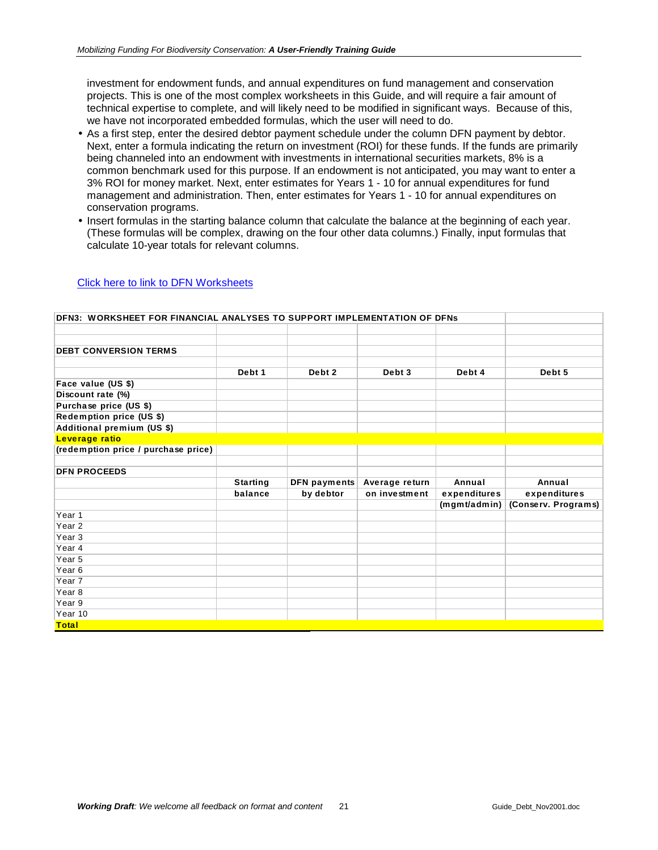investment for endowment funds, and annual expenditures on fund management and conservation projects. This is one of the most complex worksheets in this Guide, and will require a fair amount of technical expertise to complete, and will likely need to be modified in significant ways. Because of this, we have not incorporated embedded formulas, which the user will need to do.

- As a first step, enter the desired debtor payment schedule under the column DFN payment by debtor. Next, enter a formula indicating the return on investment (ROI) for these funds. If the funds are primarily being channeled into an endowment with investments in international securities markets, 8% is a common benchmark used for this purpose. If an endowment is not anticipated, you may want to enter a 3% ROI for money market. Next, enter estimates for Years 1 - 10 for annual expenditures for fund management and administration. Then, enter estimates for Years 1 - 10 for annual expenditures on conservation programs.
- Insert formulas in the starting balance column that calculate the balance at the beginning of each year. (These formulas will be complex, drawing on the four other data columns.) Finally, input formulas that calculate 10-year totals for relevant columns.

| <b>DEN3: WORKSHEET FOR FINANCIAL ANALYSES TO SUPPORT IMPLEMENTATION OF DENS</b> |                 |                     |                |              |                     |
|---------------------------------------------------------------------------------|-----------------|---------------------|----------------|--------------|---------------------|
|                                                                                 |                 |                     |                |              |                     |
|                                                                                 |                 |                     |                |              |                     |
| <b>DEBT CONVERSION TERMS</b>                                                    |                 |                     |                |              |                     |
|                                                                                 |                 |                     |                |              |                     |
|                                                                                 | Debt 1          | Debt 2              | Debt 3         | Debt 4       | Debt 5              |
| Face value (US \$)                                                              |                 |                     |                |              |                     |
| Discount rate (%)                                                               |                 |                     |                |              |                     |
| Purchase price (US \$)                                                          |                 |                     |                |              |                     |
| Redemption price (US \$)                                                        |                 |                     |                |              |                     |
| Additional premium (US \$)                                                      |                 |                     |                |              |                     |
| Leverage ratio                                                                  |                 |                     |                |              |                     |
| (redemption price / purchase price)                                             |                 |                     |                |              |                     |
|                                                                                 |                 |                     |                |              |                     |
| <b>DFN PROCEEDS</b>                                                             |                 |                     |                |              |                     |
|                                                                                 | <b>Starting</b> | <b>DFN</b> payments | Average return | Annual       | Annual              |
|                                                                                 | balance         | by debtor           | on investment  | expenditures | expenditures        |
|                                                                                 |                 |                     |                | (mgmt/admin) | (Conserv. Programs) |
| Year <sub>1</sub>                                                               |                 |                     |                |              |                     |
| Year <sub>2</sub>                                                               |                 |                     |                |              |                     |
| Year <sub>3</sub>                                                               |                 |                     |                |              |                     |
| Year 4                                                                          |                 |                     |                |              |                     |
| Year <sub>5</sub>                                                               |                 |                     |                |              |                     |
| Year <sub>6</sub>                                                               |                 |                     |                |              |                     |
| Year 7                                                                          |                 |                     |                |              |                     |
| Year <sub>8</sub>                                                               |                 |                     |                |              |                     |
| Year 9                                                                          |                 |                     |                |              |                     |
| Year 10                                                                         |                 |                     |                |              |                     |
|                                                                                 |                 |                     |                |              |                     |

#### Click here to link to DFN Worksheets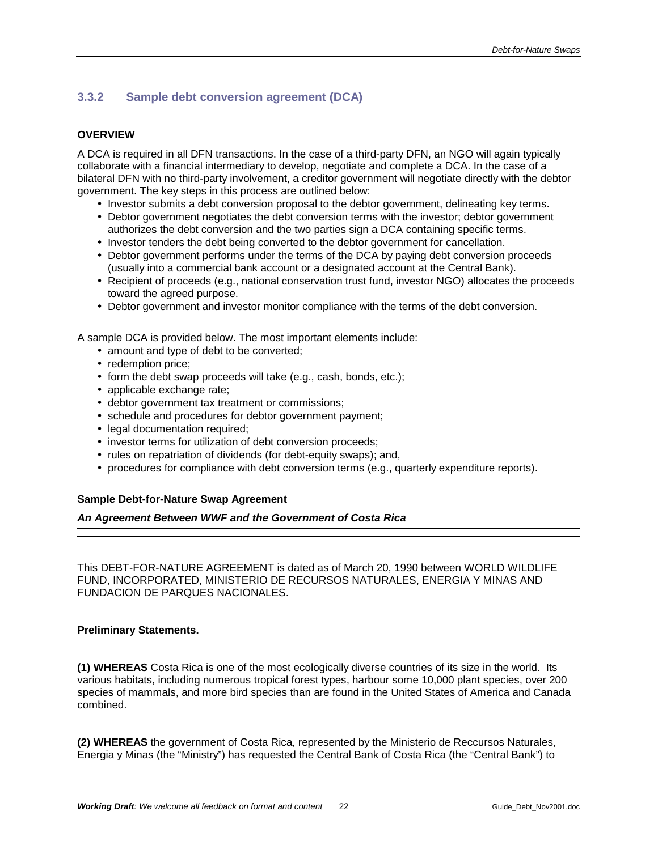# <span id="page-21-0"></span>**3.3.2 Sample debt conversion agreement (DCA)**

#### **OVERVIEW**

A DCA is required in all DFN transactions. In the case of a third-party DFN, an NGO will again typically collaborate with a financial intermediary to develop, negotiate and complete a DCA. In the case of a bilateral DFN with no third-party involvement, a creditor government will negotiate directly with the debtor government. The key steps in this process are outlined below:

- Investor submits a debt conversion proposal to the debtor government, delineating key terms.
- Debtor government negotiates the debt conversion terms with the investor; debtor government authorizes the debt conversion and the two parties sign a DCA containing specific terms.
- Investor tenders the debt being converted to the debtor government for cancellation.
- Debtor government performs under the terms of the DCA by paying debt conversion proceeds (usually into a commercial bank account or a designated account at the Central Bank).
- Recipient of proceeds (e.g., national conservation trust fund, investor NGO) allocates the proceeds toward the agreed purpose.
- Debtor government and investor monitor compliance with the terms of the debt conversion.

A sample DCA is provided below. The most important elements include:

- amount and type of debt to be converted;
- redemption price;
- form the debt swap proceeds will take (e.g., cash, bonds, etc.);
- applicable exchange rate;
- debtor government tax treatment or commissions;
- schedule and procedures for debtor government payment;
- legal documentation required;
- investor terms for utilization of debt conversion proceeds;
- rules on repatriation of dividends (for debt-equity swaps); and,
- procedures for compliance with debt conversion terms (e.g., quarterly expenditure reports).

#### **Sample Debt-for-Nature Swap Agreement**

*An Agreement Between WWF and the Government of Costa Rica* 

This DEBT-FOR-NATURE AGREEMENT is dated as of March 20, 1990 between WORLD WILDLIFE FUND, INCORPORATED, MINISTERIO DE RECURSOS NATURALES, ENERGIA Y MINAS AND FUNDACION DE PARQUES NACIONALES.

#### **Preliminary Statements.**

**(1) WHEREAS** Costa Rica is one of the most ecologically diverse countries of its size in the world. Its various habitats, including numerous tropical forest types, harbour some 10,000 plant species, over 200 species of mammals, and more bird species than are found in the United States of America and Canada combined.

**(2) WHEREAS** the government of Costa Rica, represented by the Ministerio de Reccursos Naturales, Energia y Minas (the "Ministry") has requested the Central Bank of Costa Rica (the "Central Bank") to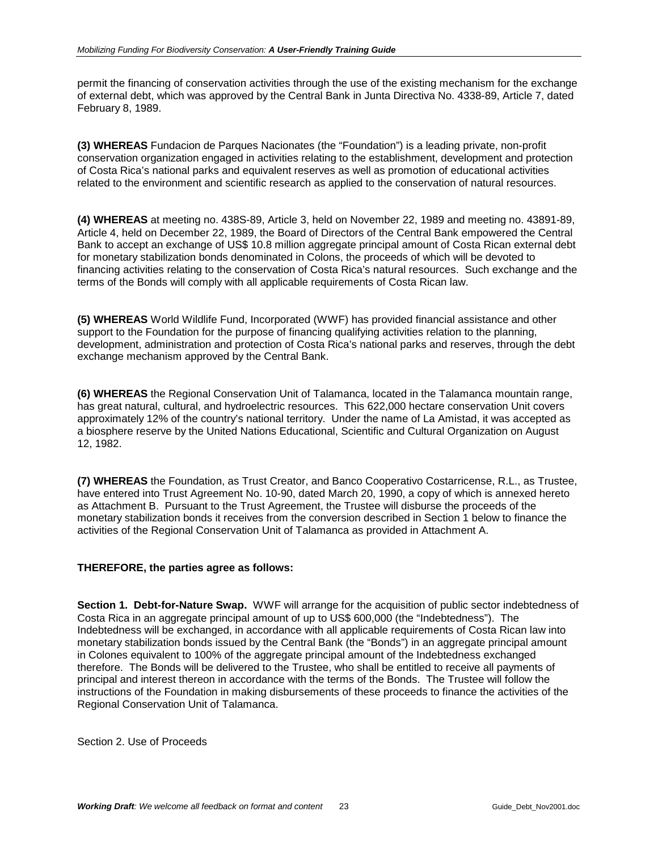permit the financing of conservation activities through the use of the existing mechanism for the exchange of external debt, which was approved by the Central Bank in Junta Directiva No. 4338-89, Article 7, dated February 8, 1989.

**(3) WHEREAS** Fundacion de Parques Nacionates (the "Foundation") is a leading private, non-profit conservation organization engaged in activities relating to the establishment, development and protection of Costa Rica's national parks and equivalent reserves as well as promotion of educational activities related to the environment and scientific research as applied to the conservation of natural resources.

**(4) WHEREAS** at meeting no. 438S-89, Article 3, held on November 22, 1989 and meeting no. 43891-89, Article 4, held on December 22, 1989, the Board of Directors of the Central Bank empowered the Central Bank to accept an exchange of US\$ 10.8 million aggregate principal amount of Costa Rican external debt for monetary stabilization bonds denominated in Colons, the proceeds of which will be devoted to financing activities relating to the conservation of Costa Rica's natural resources. Such exchange and the terms of the Bonds will comply with all applicable requirements of Costa Rican law.

**(5) WHEREAS** World Wildlife Fund, Incorporated (WWF) has provided financial assistance and other support to the Foundation for the purpose of financing qualifying activities relation to the planning, development, administration and protection of Costa Rica's national parks and reserves, through the debt exchange mechanism approved by the Central Bank.

**(6) WHEREAS** the Regional Conservation Unit of Talamanca, located in the Talamanca mountain range, has great natural, cultural, and hydroelectric resources. This 622,000 hectare conservation Unit covers approximately 12% of the country's national territory. Under the name of La Amistad, it was accepted as a biosphere reserve by the United Nations Educational, Scientific and Cultural Organization on August 12, 1982.

**(7) WHEREAS** the Foundation, as Trust Creator, and Banco Cooperativo Costarricense, R.L., as Trustee, have entered into Trust Agreement No. 10-90, dated March 20, 1990, a copy of which is annexed hereto as Attachment B. Pursuant to the Trust Agreement, the Trustee will disburse the proceeds of the monetary stabilization bonds it receives from the conversion described in Section 1 below to finance the activities of the Regional Conservation Unit of Talamanca as provided in Attachment A.

#### **THEREFORE, the parties agree as follows:**

**Section 1. Debt-for-Nature Swap.** WWF will arrange for the acquisition of public sector indebtedness of Costa Rica in an aggregate principal amount of up to US\$ 600,000 (the "Indebtedness"). The Indebtedness will be exchanged, in accordance with all applicable requirements of Costa Rican law into monetary stabilization bonds issued by the Central Bank (the "Bonds") in an aggregate principal amount in Colones equivalent to 100% of the aggregate principal amount of the Indebtedness exchanged therefore. The Bonds will be delivered to the Trustee, who shall be entitled to receive all payments of principal and interest thereon in accordance with the terms of the Bonds. The Trustee will follow the instructions of the Foundation in making disbursements of these proceeds to finance the activities of the Regional Conservation Unit of Talamanca.

Section 2. Use of Proceeds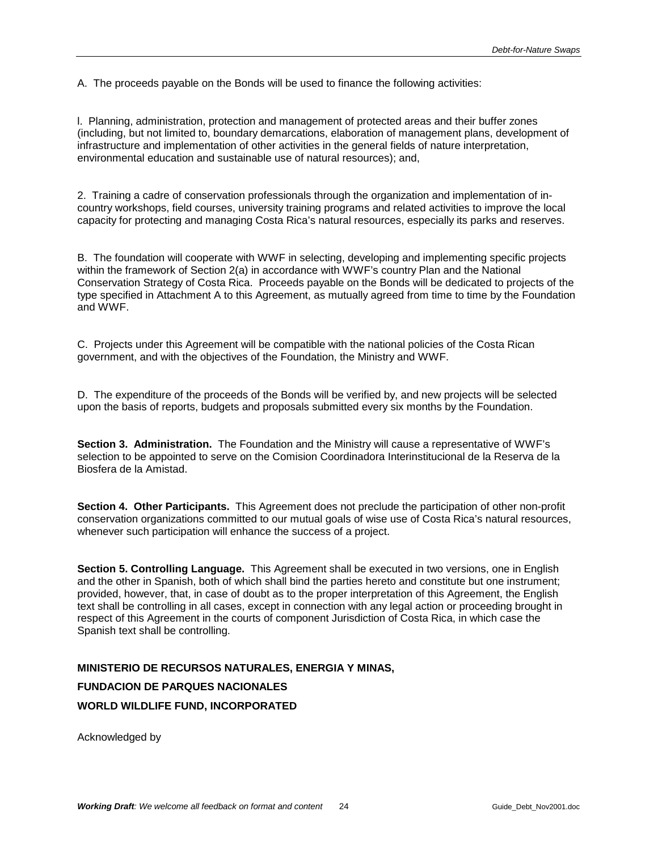A. The proceeds payable on the Bonds will be used to finance the following activities:

l. Planning, administration, protection and management of protected areas and their buffer zones (including, but not limited to, boundary demarcations, elaboration of management plans, development of infrastructure and implementation of other activities in the general fields of nature interpretation, environmental education and sustainable use of natural resources); and,

2. Training a cadre of conservation professionals through the organization and implementation of incountry workshops, field courses, university training programs and related activities to improve the local capacity for protecting and managing Costa Rica's natural resources, especially its parks and reserves.

B. The foundation will cooperate with WWF in selecting, developing and implementing specific projects within the framework of Section 2(a) in accordance with WWF's country Plan and the National Conservation Strategy of Costa Rica. Proceeds payable on the Bonds will be dedicated to projects of the type specified in Attachment A to this Agreement, as mutually agreed from time to time by the Foundation and WWF.

C. Projects under this Agreement will be compatible with the national policies of the Costa Rican government, and with the objectives of the Foundation, the Ministry and WWF.

D. The expenditure of the proceeds of the Bonds will be verified by, and new projects will be selected upon the basis of reports, budgets and proposals submitted every six months by the Foundation.

**Section 3. Administration.** The Foundation and the Ministry will cause a representative of WWF's selection to be appointed to serve on the Comision Coordinadora Interinstitucional de la Reserva de la Biosfera de la Amistad.

**Section 4. Other Participants.** This Agreement does not preclude the participation of other non-profit conservation organizations committed to our mutual goals of wise use of Costa Rica's natural resources, whenever such participation will enhance the success of a project.

**Section 5. Controlling Language.** This Agreement shall be executed in two versions, one in English and the other in Spanish, both of which shall bind the parties hereto and constitute but one instrument; provided, however, that, in case of doubt as to the proper interpretation of this Agreement, the English text shall be controlling in all cases, except in connection with any legal action or proceeding brought in respect of this Agreement in the courts of component Jurisdiction of Costa Rica, in which case the Spanish text shall be controlling.

# **MINISTERIO DE RECURSOS NATURALES, ENERGIA Y MINAS, FUNDACION DE PARQUES NACIONALES WORLD WILDLIFE FUND, INCORPORATED**

Acknowledged by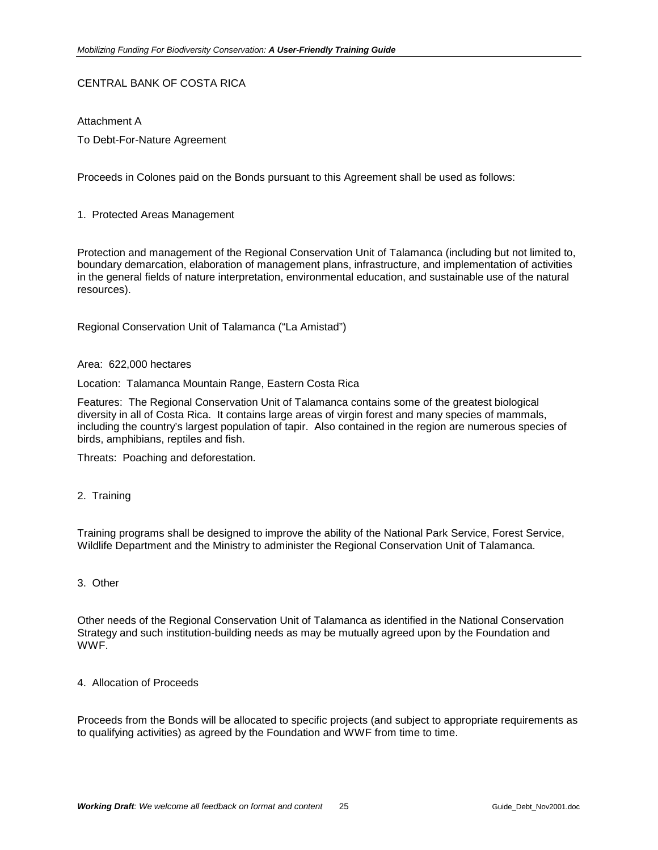#### CENTRAL BANK OF COSTA RICA

Attachment A To Debt-For-Nature Agreement

Proceeds in Colones paid on the Bonds pursuant to this Agreement shall be used as follows:

1. Protected Areas Management

Protection and management of the Regional Conservation Unit of Talamanca (including but not limited to, boundary demarcation, elaboration of management plans, infrastructure, and implementation of activities in the general fields of nature interpretation, environmental education, and sustainable use of the natural resources).

Regional Conservation Unit of Talamanca ("La Amistad")

#### Area: 622,000 hectares

Location: Talamanca Mountain Range, Eastern Costa Rica

Features: The Regional Conservation Unit of Talamanca contains some of the greatest biological diversity in all of Costa Rica. It contains large areas of virgin forest and many species of mammals, including the country's largest population of tapir. Also contained in the region are numerous species of birds, amphibians, reptiles and fish.

Threats: Poaching and deforestation.

#### 2. Training

Training programs shall be designed to improve the ability of the National Park Service, Forest Service, Wildlife Department and the Ministry to administer the Regional Conservation Unit of Talamanca.

#### 3. Other

Other needs of the Regional Conservation Unit of Talamanca as identified in the National Conservation Strategy and such institution-building needs as may be mutually agreed upon by the Foundation and WWF.

#### 4. Allocation of Proceeds

Proceeds from the Bonds will be allocated to specific projects (and subject to appropriate requirements as to qualifying activities) as agreed by the Foundation and WWF from time to time.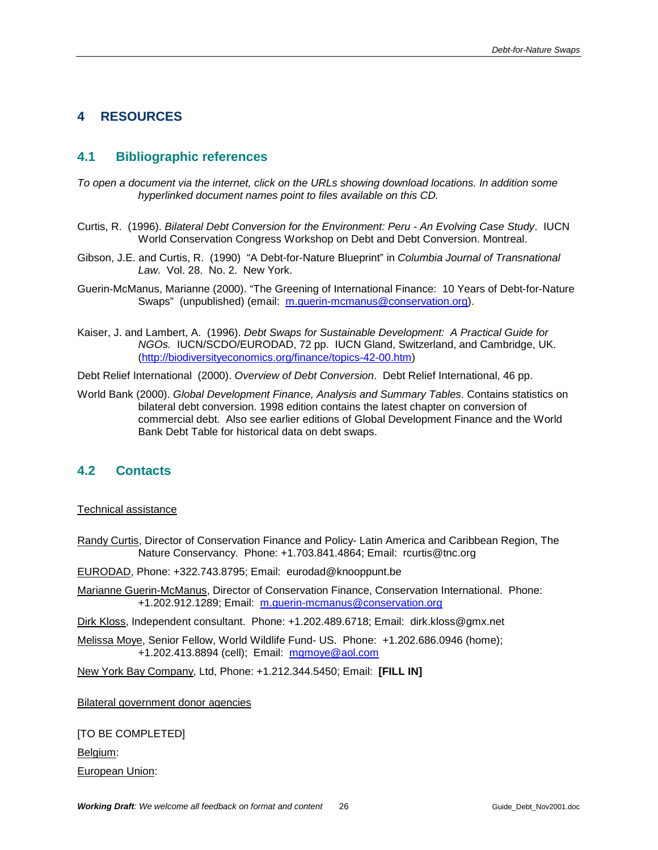# <span id="page-25-0"></span>**4 RESOURCES**

# **4.1 Bibliographic references**

- *To open a document via the internet, click on the URLs showing download locations. In addition some hyperlinked document names point to files available on this CD.*
- Curtis, R. (1996). *Bilateral Debt Conversion for the Environment: Peru An Evolving Case Study*. IUCN World Conservation Congress Workshop on Debt and Debt Conversion. Montreal.
- Gibson, J.E. and Curtis, R. (1990) "A Debt-for-Nature Blueprint" in *Columbia Journal of Transnational Law*. Vol. 28. No. 2. New York.
- Guerin-McManus, Marianne (2000). "The Greening of International Finance: 10 Years of Debt-for-Nature Swaps" (unpublished) (email: [m.guerin-mcmanus@conservation.org\).](mailto:m.guerin-mcmanus@conservation)
- Kaiser, J. and Lambert, A. (1996). *Debt Swaps for Sustainable Development: A Practical Guide for NGOs.* IUCN/SCDO/EURODAD, 72 pp. IUCN Gland, Switzerland, and Cambridge, UK. ([http://biodiversityeconomics.org/finance/topics-42-00.htm\)](http://biodiversityeconomics.org/finance/topics-42-00.htm)

Debt Relief International (2000). *Overview of Debt Conversion*. Debt Relief International, 46 pp.

World Bank (2000). *Global Development Finance, Analysis and Summary Tables*. Contains statistics on bilateral debt conversion. 1998 edition contains the latest chapter on conversion of commercial debt. Also see earlier editions of Global Development Finance and the World Bank Debt Table for historical data on debt swaps.

#### **4.2 Contacts**

#### Technical assistance

Randy Curtis, Director of Conservation Finance and Policy- Latin America and Caribbean Region, The Nature Conservancy. Phone: +1.703.841.4864; Email: rcurtis@tnc.org

EURODAD, Phone: +322.743.8795; Email: eurodad@knooppunt.be

Marianne Guerin-McManus, Director of Conservation Finance, Conservation International. Phone: +1.202.912.1289; Email: [m.guerin-mcmanus@conservation.org](mailto:m.guerin-mcmanus@conservation)

Dirk Kloss, Independent consultant. Phone: +1.202.489.6718; Email: dirk.kloss@gmx.net

Melissa Moye, Senior Fellow, World Wildlife Fund- US. Phone: +1.202.686.0946 (home); +1.202.413.8894 (cell); Email: [mgmoye@aol.com](mailto:mgmoye@aol.com)

New York Bay Company, Ltd, Phone: +1.212.344.5450; Email: **[FILL IN]**

Bilateral government donor agencies

[TO BE COMPLETED]

Belgium:

European Union: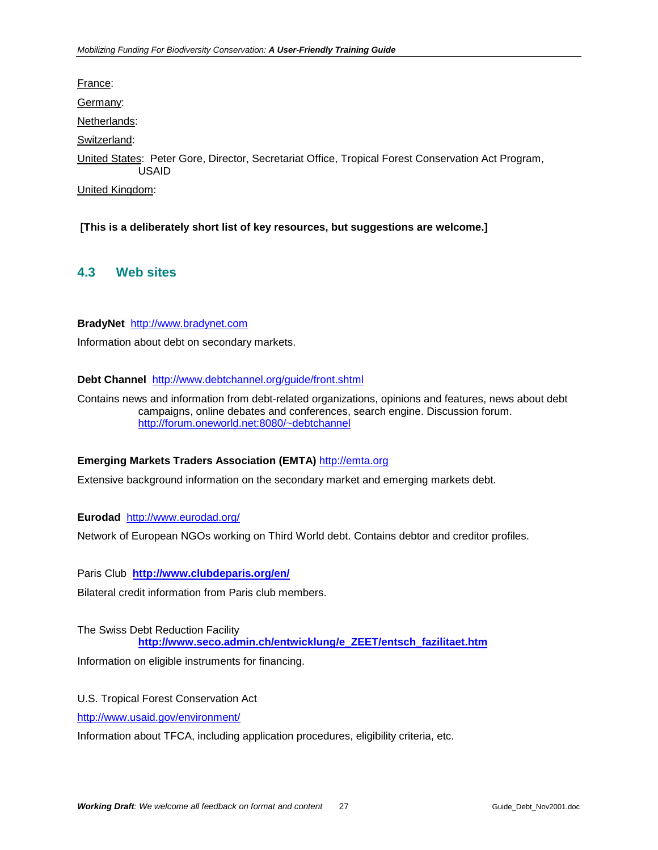<span id="page-26-0"></span>France:

Germany:

Netherlands:

Switzerland:

United States: Peter Gore, Director, Secretariat Office, Tropical Forest Conservation Act Program, USAID

United Kingdom:

 **[This is a deliberately short list of key resources, but suggestions are welcome.]** 

# **4.3 Web sites**

#### **BradyNet** [http://www.bradynet.com](http://www.bradynet.com/)

Information about debt on secondary markets.

#### **Debt Channel** <http://www.debtchannel.org/guide/front.shtml>

Contains news and information from debt-related organizations, opinions and features, news about debt campaigns, online debates and conferences, search engine. Discussion forum. <http://forum.oneworld.net:8080/~debtchannel>

#### **Emerging Markets Traders Association (EMTA)** [http://emta.org](http://emta.org/)

Extensive background information on the secondary market and emerging markets debt.

#### **Eurodad** <http://www.eurodad.org/>

Network of European NGOs working on Third World debt. Contains debtor and creditor profiles.

Paris Club **<http://www.clubdeparis.org/en/>**

Bilateral credit information from Paris club members.

The Swiss Debt Reduction Facility **[http://www.seco.admin.ch/entwicklung/e\\_ZEET/entsch\\_fazilitaet.htm](http://www.seco.admin.ch/entwicklung/e_ZEET/entsch_fazilitaet.htm)**

Information on eligible instruments for financing.

U.S. Tropical Forest Conservation Act

<http://www.usaid.gov/environment/>

Information about TFCA, including application procedures, eligibility criteria, etc.